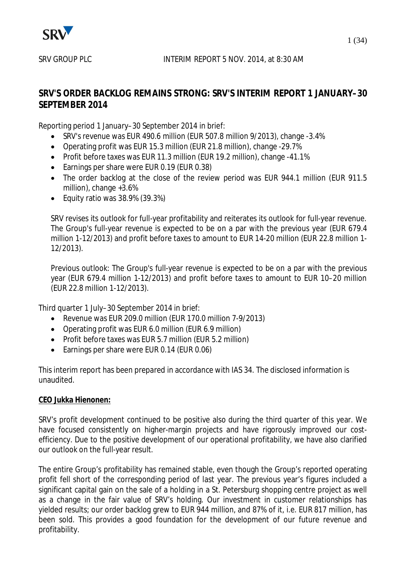

## **SRV'S ORDER BACKLOG REMAINS STRONG: SRV'S INTERIM REPORT 1 JANUARY–30 SEPTEMBER 2014**

Reporting period 1 January–30 September 2014 in brief:

- SRV's revenue was EUR 490.6 million (EUR 507.8 million 9/2013), change -3.4%
- Operating profit was EUR 15.3 million (EUR 21.8 million), change -29.7%
- Profit before taxes was EUR 11.3 million (EUR 19.2 million), change -41.1%
- Earnings per share were EUR 0.19 (EUR 0.38)
- The order backlog at the close of the review period was EUR 944.1 million (EUR 911.5) million), change +3.6%
- $\bullet$  Equity ratio was 38.9% (39.3%)

SRV revises its outlook for full-year profitability and reiterates its outlook for full-year revenue. The Group's full-year revenue is expected to be on a par with the previous year (EUR 679.4 million 1-12/2013) and profit before taxes to amount to EUR 14-20 million (EUR 22.8 million 1- 12/2013).

Previous outlook: The Group's full-year revenue is expected to be on a par with the previous year (EUR 679.4 million 1-12/2013) and profit before taxes to amount to EUR 10–20 million (EUR 22.8 million 1-12/2013).

Third quarter 1 July–30 September 2014 in brief:

- $\bullet$  Revenue was EUR 209.0 million (EUR 170.0 million 7-9/2013)
- Operating profit was EUR 6.0 million (EUR 6.9 million)
- Profit before taxes was EUR 5.7 million (EUR 5.2 million)
- Earnings per share were EUR 0.14 (EUR 0.06)

This interim report has been prepared in accordance with IAS 34. The disclosed information is unaudited.

## **CEO Jukka Hienonen:**

SRV's profit development continued to be positive also during the third quarter of this year. We have focused consistently on higher-margin projects and have rigorously improved our costefficiency. Due to the positive development of our operational profitability, we have also clarified our outlook on the full-year result.

The entire Group's profitability has remained stable, even though the Group's reported operating profit fell short of the corresponding period of last year. The previous year's figures included a significant capital gain on the sale of a holding in a St. Petersburg shopping centre project as well as a change in the fair value of SRV's holding. Our investment in customer relationships has yielded results; our order backlog grew to EUR 944 million, and 87% of it, i.e. EUR 817 million, has been sold. This provides a good foundation for the development of our future revenue and profitability.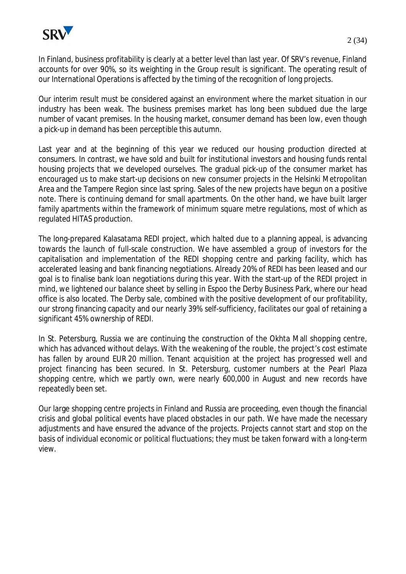

In Finland, business profitability is clearly at a better level than last year. Of SRV's revenue, Finland accounts for over 90%, so its weighting in the Group result is significant. The operating result of our International Operations is affected by the timing of the recognition of long projects.

Our interim result must be considered against an environment where the market situation in our industry has been weak. The business premises market has long been subdued due the large number of vacant premises. In the housing market, consumer demand has been low, even though a pick-up in demand has been perceptible this autumn.

Last year and at the beginning of this year we reduced our housing production directed at consumers. In contrast, we have sold and built for institutional investors and housing funds rental housing projects that we developed ourselves. The gradual pick-up of the consumer market has encouraged us to make start-up decisions on new consumer projects in the Helsinki Metropolitan Area and the Tampere Region since last spring. Sales of the new projects have begun on a positive note. There is continuing demand for small apartments. On the other hand, we have built larger family apartments within the framework of minimum square metre regulations, most of which as regulated HITAS production.

The long-prepared Kalasatama REDI project, which halted due to a planning appeal, is advancing towards the launch of full-scale construction. We have assembled a group of investors for the capitalisation and implementation of the REDI shopping centre and parking facility, which has accelerated leasing and bank financing negotiations. Already 20% of REDI has been leased and our goal is to finalise bank loan negotiations during this year. With the start-up of the REDI project in mind, we lightened our balance sheet by selling in Espoo the Derby Business Park, where our head office is also located. The Derby sale, combined with the positive development of our profitability, our strong financing capacity and our nearly 39% self-sufficiency, facilitates our goal of retaining a significant 45% ownership of REDI.

In St. Petersburg, Russia we are continuing the construction of the Okhta Mall shopping centre, which has advanced without delays. With the weakening of the rouble, the project's cost estimate has fallen by around EUR 20 million. Tenant acquisition at the project has progressed well and project financing has been secured. In St. Petersburg, customer numbers at the Pearl Plaza shopping centre, which we partly own, were nearly 600,000 in August and new records have repeatedly been set.

Our large shopping centre projects in Finland and Russia are proceeding, even though the financial crisis and global political events have placed obstacles in our path. We have made the necessary adjustments and have ensured the advance of the projects. Projects cannot start and stop on the basis of individual economic or political fluctuations; they must be taken forward with a long-term view.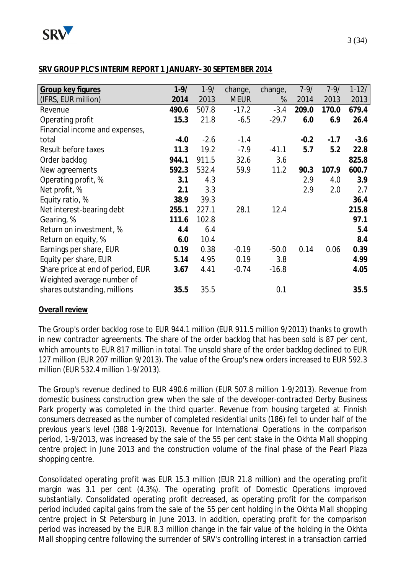

## **SRV GROUP PLC'S INTERIM REPORT 1 JANUARY–30 SEPTEMBER 2014**

| Group key figures                 | $1 - 9/$ | $1 - 9/$ | change,     | change, | $7 - 9/$ | $7 - 9/$ | $1-12/$ |
|-----------------------------------|----------|----------|-------------|---------|----------|----------|---------|
| (IFRS, EUR million)               | 2014     | 2013     | <b>MEUR</b> | %       | 2014     | 2013     | 2013    |
| Revenue                           | 490.6    | 507.8    | $-17.2$     | $-3.4$  | 209.0    | 170.0    | 679.4   |
| Operating profit                  | 15.3     | 21.8     | $-6.5$      | $-29.7$ | 6.0      | 6.9      | 26.4    |
| Financial income and expenses,    |          |          |             |         |          |          |         |
| total                             | $-4.0$   | $-2.6$   | $-1.4$      |         | $-0.2$   | $-1.7$   | $-3.6$  |
| Result before taxes               | 11.3     | 19.2     | $-7.9$      | $-41.1$ | 5.7      | 5.2      | 22.8    |
| Order backlog                     | 944.1    | 911.5    | 32.6        | 3.6     |          |          | 825.8   |
| New agreements                    | 592.3    | 532.4    | 59.9        | 11.2    | 90.3     | 107.9    | 600.7   |
| Operating profit, %               | 3.1      | 4.3      |             |         | 2.9      | 4.0      | 3.9     |
| Net profit, %                     | 2.1      | 3.3      |             |         | 2.9      | 2.0      | 2.7     |
| Equity ratio, %                   | 38.9     | 39.3     |             |         |          |          | 36.4    |
| Net interest-bearing debt         | 255.1    | 227.1    | 28.1        | 12.4    |          |          | 215.8   |
| Gearing, %                        | 111.6    | 102.8    |             |         |          |          | 97.1    |
| Return on investment, %           | 4.4      | 6.4      |             |         |          |          | 5.4     |
| Return on equity, %               | 6.0      | 10.4     |             |         |          |          | 8.4     |
| Earnings per share, EUR           | 0.19     | 0.38     | $-0.19$     | $-50.0$ | 0.14     | 0.06     | 0.39    |
| Equity per share, EUR             | 5.14     | 4.95     | 0.19        | 3.8     |          |          | 4.99    |
| Share price at end of period, EUR | 3.67     | 4.41     | $-0.74$     | $-16.8$ |          |          | 4.05    |
| Weighted average number of        |          |          |             |         |          |          |         |
| shares outstanding, millions      | 35.5     | 35.5     |             | 0.1     |          |          | 35.5    |
|                                   |          |          |             |         |          |          |         |

## **Overall review**

The Group's order backlog rose to EUR 944.1 million (EUR 911.5 million 9/2013) thanks to growth in new contractor agreements. The share of the order backlog that has been sold is 87 per cent, which amounts to EUR 817 million in total. The unsold share of the order backlog declined to EUR 127 million (EUR 207 million 9/2013). The value of the Group's new orders increased to EUR 592.3 million (EUR 532.4 million 1-9/2013).

The Group's revenue declined to EUR 490.6 million (EUR 507.8 million 1-9/2013). Revenue from domestic business construction grew when the sale of the developer-contracted Derby Business Park property was completed in the third quarter. Revenue from housing targeted at Finnish consumers decreased as the number of completed residential units (186) fell to under half of the previous year's level (388 1-9/2013). Revenue for International Operations in the comparison period, 1-9/2013, was increased by the sale of the 55 per cent stake in the Okhta Mall shopping centre project in June 2013 and the construction volume of the final phase of the Pearl Plaza shopping centre.

Consolidated operating profit was EUR 15.3 million (EUR 21.8 million) and the operating profit margin was 3.1 per cent (4.3%). The operating profit of Domestic Operations improved substantially. Consolidated operating profit decreased, as operating profit for the comparison period included capital gains from the sale of the 55 per cent holding in the Okhta Mall shopping centre project in St Petersburg in June 2013. In addition, operating profit for the comparison period was increased by the EUR 8.3 million change in the fair value of the holding in the Okhta Mall shopping centre following the surrender of SRV's controlling interest in a transaction carried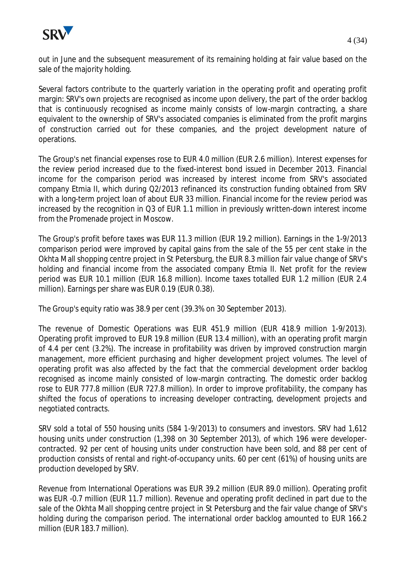

out in June and the subsequent measurement of its remaining holding at fair value based on the sale of the majority holding.

Several factors contribute to the quarterly variation in the operating profit and operating profit margin: SRV's own projects are recognised as income upon delivery, the part of the order backlog that is continuously recognised as income mainly consists of low-margin contracting, a share equivalent to the ownership of SRV's associated companies is eliminated from the profit margins of construction carried out for these companies, and the project development nature of operations.

The Group's net financial expenses rose to EUR 4.0 million (EUR 2.6 million). Interest expenses for the review period increased due to the fixed-interest bond issued in December 2013. Financial income for the comparison period was increased by interest income from SRV's associated company Etmia II, which during Q2/2013 refinanced its construction funding obtained from SRV with a long-term project loan of about EUR 33 million. Financial income for the review period was increased by the recognition in Q3 of EUR 1.1 million in previously written-down interest income from the Promenade project in Moscow.

The Group's profit before taxes was EUR 11.3 million (EUR 19.2 million). Earnings in the 1-9/2013 comparison period were improved by capital gains from the sale of the 55 per cent stake in the Okhta Mall shopping centre project in St Petersburg, the EUR 8.3 million fair value change of SRV's holding and financial income from the associated company Etmia II. Net profit for the review period was EUR 10.1 million (EUR 16.8 million). Income taxes totalled EUR 1.2 million (EUR 2.4 million). Earnings per share was EUR 0.19 (EUR 0.38).

The Group's equity ratio was 38.9 per cent (39.3% on 30 September 2013).

The revenue of Domestic Operations was EUR 451.9 million (EUR 418.9 million 1-9/2013). Operating profit improved to EUR 19.8 million (EUR 13.4 million), with an operating profit margin of 4.4 per cent (3.2%). The increase in profitability was driven by improved construction margin management, more efficient purchasing and higher development project volumes. The level of operating profit was also affected by the fact that the commercial development order backlog recognised as income mainly consisted of low-margin contracting. The domestic order backlog rose to EUR 777.8 million (EUR 727.8 million). In order to improve profitability, the company has shifted the focus of operations to increasing developer contracting, development projects and negotiated contracts.

SRV sold a total of 550 housing units (584 1-9/2013) to consumers and investors. SRV had 1,612 housing units under construction (1,398 on 30 September 2013), of which 196 were developercontracted. 92 per cent of housing units under construction have been sold, and 88 per cent of production consists of rental and right-of-occupancy units. 60 per cent (61%) of housing units are production developed by SRV.

Revenue from International Operations was EUR 39.2 million (EUR 89.0 million). Operating profit was EUR -0.7 million (EUR 11.7 million). Revenue and operating profit declined in part due to the sale of the Okhta Mall shopping centre project in St Petersburg and the fair value change of SRV's holding during the comparison period. The international order backlog amounted to EUR 166.2 million (EUR 183.7 million).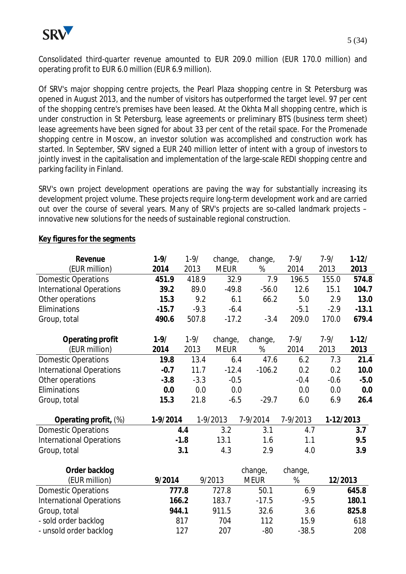

Consolidated third-quarter revenue amounted to EUR 209.0 million (EUR 170.0 million) and operating profit to EUR 6.0 million (EUR 6.9 million).

Of SRV's major shopping centre projects, the Pearl Plaza shopping centre in St Petersburg was opened in August 2013, and the number of visitors has outperformed the target level. 97 per cent of the shopping centre's premises have been leased. At the Okhta Mall shopping centre, which is under construction in St Petersburg, lease agreements or preliminary BTS (business term sheet) lease agreements have been signed for about 33 per cent of the retail space. For the Promenade shopping centre in Moscow, an investor solution was accomplished and construction work has started. In September, SRV signed a EUR 240 million letter of intent with a group of investors to jointly invest in the capitalisation and implementation of the large-scale REDI shopping centre and parking facility in Finland.

SRV's own project development operations are paving the way for substantially increasing its development project volume. These projects require long-term development work and are carried out over the course of several years. Many of SRV's projects are so-called landmark projects – innovative new solutions for the needs of sustainable regional construction.

| Revenue                         | $1 - 9/$ | $1 - 9/$ | change,     | change,     | $7 - 9/$ | $7 - 9/$  | $1-12/$ |
|---------------------------------|----------|----------|-------------|-------------|----------|-----------|---------|
| (EUR million)                   | 2014     | 2013     | <b>MEUR</b> | %           | 2014     | 2013      | 2013    |
| <b>Domestic Operations</b>      | 451.9    | 418.9    | 32.9        | 7.9         | 196.5    | 155.0     | 574.8   |
| <b>International Operations</b> | 39.2     | 89.0     | $-49.8$     | $-56.0$     | 12.6     | 15.1      | 104.7   |
| Other operations                | 15.3     | 9.2      | 6.1         | 66.2        | 5.0      | 2.9       | 13.0    |
| Eliminations                    | $-15.7$  | $-9.3$   | $-6.4$      |             | $-5.1$   | $-2.9$    | $-13.1$ |
| Group, total                    | 490.6    | 507.8    | $-17.2$     | $-3.4$      | 209.0    | 170.0     | 679.4   |
| Operating profit                | $1 - 9/$ | $1 - 9/$ | change,     | change,     | $7 - 9/$ | $7 - 9/$  | $1-12/$ |
| (EUR million)                   | 2014     | 2013     | <b>MEUR</b> | %           | 2014     | 2013      | 2013    |
| <b>Domestic Operations</b>      | 19.8     | 13.4     | 6.4         | 47.6        | 6.2      | 7.3       | 21.4    |
| <b>International Operations</b> | $-0.7$   | 11.7     | $-12.4$     | $-106.2$    | 0.2      | 0.2       | 10.0    |
| Other operations                | $-3.8$   | $-3.3$   | $-0.5$      |             | $-0.4$   | $-0.6$    | $-5.0$  |
| Eliminations                    | 0.0      | 0.0      | 0.0         |             | 0.0      | 0.0       | 0.0     |
| Group, total                    | 15.3     | 21.8     | $-6.5$      | $-29.7$     | 6.0      | 6.9       | 26.4    |
| Operating profit, (%)           | 1-9/2014 |          | 1-9/2013    | 7-9/2014    | 7-9/2013 | 1-12/2013 |         |
| <b>Domestic Operations</b>      |          | 4.4      | 3.2         | 3.1         | 4.7      |           | 3.7     |
| <b>International Operations</b> |          | $-1.8$   | 13.1        | 1.6         | 1.1      |           | 9.5     |
| Group, total                    |          | 3.1      | 4.3         | 2.9         | 4.0      |           | 3.9     |
| Order backlog                   |          |          |             | change,     | change,  |           |         |
| (EUR million)                   | 9/2014   |          | 9/2013      | <b>MEUR</b> | %        | 12/2013   |         |
| <b>Domestic Operations</b>      | 777.8    |          | 727.8       | 50.1        | 6.9      |           | 645.8   |
| <b>International Operations</b> | 166.2    |          | 183.7       | $-17.5$     | $-9.5$   |           | 180.1   |
| Group, total                    | 944.1    |          | 911.5       | 32.6        | 3.6      |           | 825.8   |
| - sold order backlog            |          | 817      | 704         | 112         | 15.9     |           | 618     |

- unsold order backlog and the 127 and 207 -80 -38.5 208

#### **Key figures for the segments**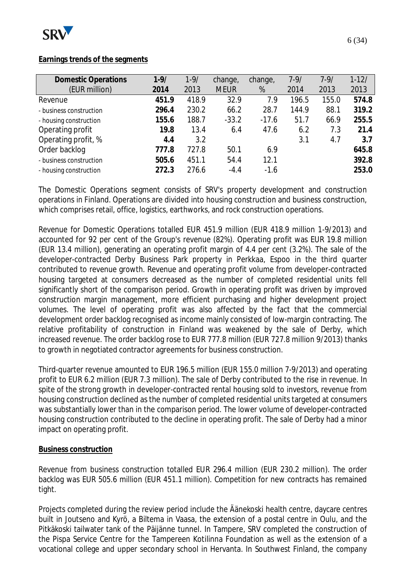

## **Earnings trends of the segments**

| <b>Domestic Operations</b> | $1 - 9/$ | $1 - 9/$ | change,     | change, | $7 - 9/$ | $7 - 9/$ | $1-12/$ |
|----------------------------|----------|----------|-------------|---------|----------|----------|---------|
| (EUR million)              | 2014     | 2013     | <b>MEUR</b> | %       | 2014     | 2013     | 2013    |
| Revenue                    | 451.9    | 418.9    | 32.9        | 7.9     | 196.5    | 155.0    | 574.8   |
| - business construction    | 296.4    | 230.2    | 66.2        | 28.7    | 144.9    | 88.1     | 319.2   |
| - housing construction     | 155.6    | 188.7    | $-33.2$     | $-17.6$ | 51.7     | 66.9     | 255.5   |
| Operating profit           | 19.8     | 13.4     | 6.4         | 47.6    | 6.2      | 7.3      | 21.4    |
| Operating profit, %        | 4.4      | 3.2      |             |         | 3.1      | 4.7      | 3.7     |
| Order backlog              | 777.8    | 727.8    | 50.1        | 6.9     |          |          | 645.8   |
| - business construction    | 505.6    | 451.1    | 54.4        | 12.1    |          |          | 392.8   |
| - housing construction     | 272.3    | 276.6    | $-4.4$      | $-1.6$  |          |          | 253.0   |

The Domestic Operations segment consists of SRV's property development and construction operations in Finland. Operations are divided into housing construction and business construction, which comprises retail, office, logistics, earthworks, and rock construction operations.

Revenue for Domestic Operations totalled EUR 451.9 million (EUR 418.9 million 1-9/2013) and accounted for 92 per cent of the Group's revenue (82%). Operating profit was EUR 19.8 million (EUR 13.4 million), generating an operating profit margin of 4.4 per cent (3.2%). The sale of the developer-contracted Derby Business Park property in Perkkaa, Espoo in the third quarter contributed to revenue growth. Revenue and operating profit volume from developer-contracted housing targeted at consumers decreased as the number of completed residential units fell significantly short of the comparison period. Growth in operating profit was driven by improved construction margin management, more efficient purchasing and higher development project volumes. The level of operating profit was also affected by the fact that the commercial development order backlog recognised as income mainly consisted of low-margin contracting. The relative profitability of construction in Finland was weakened by the sale of Derby, which increased revenue. The order backlog rose to EUR 777.8 million (EUR 727.8 million 9/2013) thanks to growth in negotiated contractor agreements for business construction.

Third-quarter revenue amounted to EUR 196.5 million (EUR 155.0 million 7-9/2013) and operating profit to EUR 6.2 million (EUR 7.3 million). The sale of Derby contributed to the rise in revenue. In spite of the strong growth in developer-contracted rental housing sold to investors, revenue from housing construction declined as the number of completed residential units targeted at consumers was substantially lower than in the comparison period. The lower volume of developer-contracted housing construction contributed to the decline in operating profit. The sale of Derby had a minor impact on operating profit.

#### **Business construction**

Revenue from business construction totalled EUR 296.4 million (EUR 230.2 million). The order backlog was EUR 505.6 million (EUR 451.1 million). Competition for new contracts has remained tight.

Projects completed during the review period include the Äänekoski health centre, daycare centres built in Joutseno and Kyrö, a Biltema in Vaasa, the extension of a postal centre in Oulu, and the Pitkäkoski tailwater tank of the Päijänne tunnel. In Tampere, SRV completed the construction of the Pispa Service Centre for the Tampereen Kotilinna Foundation as well as the extension of a vocational college and upper secondary school in Hervanta. In Southwest Finland, the company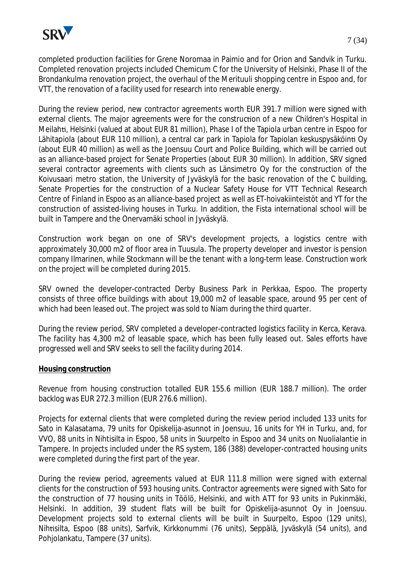

completed production facilities for Grene Noromaa in Paimio and for Orion and Sandvik in Turku. Completed renovation projects included Chemicum C for the University of Helsinki, Phase II of the Brondankulma renovation project, the overhaul of the Merituuli shopping centre in Espoo and, for VTT, the renovation of a facility used for research into renewable energy.

During the review period, new contractor agreements worth EUR 391.7 million were signed with external clients. The major agreements were for the construction of a new Children's Hospital in MeilahƟ, Helsinki (valued at about EUR 81 million), Phase I of the Tapiola urban centre in Espoo for Lähitapiola (about EUR 110 million), a central car park in Tapiola for Tapiolan keskuspysäköinti Oy (about EUR 40 million) as well as the Joensuu Court and Police Building, which will be carried out as an alliance-based project for Senate Properties (about EUR 30 million). In addition, SRV signed several contractor agreements with clients such as Länsimetro Oy for the construction of the Koivusaari metro station, the University of Jyväskylä for the basic renovation of the C building, Senate Properties for the construction of a Nuclear Safety House for VTT Technical Research Centre of Finland in Espoo as an alliance-based project as well as ET-hoivakiinteistöt and YT for the construction of assisted-living houses in Turku. In addition, the Fista international school will be built in Tampere and the Onervamäki school in Jyväskylä.

Construction work began on one of SRV's development projects, a logistics centre with approximately 30,000 m2 of floor area in Tuusula. The property developer and investor is pension company Ilmarinen, while Stockmann will be the tenant with a long-term lease. Construction work on the project will be completed during 2015.

SRV owned the developer-contracted Derby Business Park in Perkkaa, Espoo. The property consists of three office buildings with about 19,000 m2 of leasable space, around 95 per cent of which had been leased out. The project was sold to Niam during the third quarter.

During the review period, SRV completed a developer-contracted logistics facility in Kerca, Kerava. The facility has 4,300 m2 of leasable space, which has been fully leased out. Sales efforts have progressed well and SRV seeks to sell the facility during 2014.

#### **Housing construction**

Revenue from housing construction totalled EUR 155.6 million (EUR 188.7 million). The order backlog was EUR 272.3 million (EUR 276.6 million).

Projects for external clients that were completed during the review period included 133 units for Sato in Kalasatama, 79 units for Opiskelija-asunnot in Joensuu, 16 units for YH in Turku, and, for VVO, 88 units in Nihtisilta in Espoo, 58 units in Suurpelto in Espoo and 34 units on Nuolialantie in Tampere. In projects included under the RS system, 186 (388) developer-contracted housing units were completed during the first part of the year.

During the review period, agreements valued at EUR 111.8 million were signed with external clients for the construction of 593 housing units. Contractor agreements were signed with Sato for the construction of 77 housing units in Töölö, Helsinki, and with ATT for 93 units in Pukinmäki, Helsinki. In addition, 39 student flats will be built for Opiskelija-asunnot Oy in Joensuu. Development projects sold to external clients will be built in Suurpelto, Espoo (129 units), NihƟsilta, Espoo (88 units), Sarfvik, Kirkkonummi (76 units), Seppälä, Jyväskylä (54 units), and Pohjolankatu, Tampere (37 units).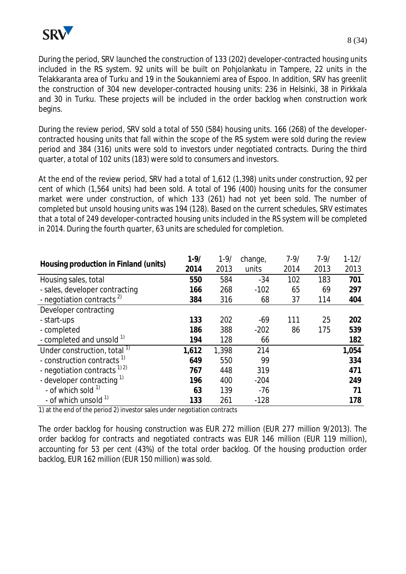

During the period, SRV launched the construction of 133 (202) developer-contracted housing units included in the RS system. 92 units will be built on Pohjolankatu in Tampere, 22 units in the Telakkaranta area of Turku and 19 in the Soukanniemi area of Espoo. In addition, SRV has greenlit the construction of 304 new developer-contracted housing units: 236 in Helsinki, 38 in Pirkkala and 30 in Turku. These projects will be included in the order backlog when construction work begins.

During the review period, SRV sold a total of 550 (584) housing units. 166 (268) of the developercontracted housing units that fall within the scope of the RS system were sold during the review period and 384 (316) units were sold to investors under negotiated contracts. During the third quarter, a total of 102 units (183) were sold to consumers and investors.

At the end of the review period, SRV had a total of 1,612 (1,398) units under construction, 92 per cent of which (1,564 units) had been sold. A total of 196 (400) housing units for the consumer market were under construction, of which 133 (261) had not yet been sold. The number of completed but unsold housing units was 194 (128). Based on the current schedules, SRV estimates that a total of 249 developer-contracted housing units included in the RS system will be completed in 2014. During the fourth quarter, 63 units are scheduled for completion.

| Housing production in Finland (units)   | $1 - 9/$ | $1 - 9/$ | change, | $7 - 9/$ | $7 - 9/$ | $1 - 12/$ |
|-----------------------------------------|----------|----------|---------|----------|----------|-----------|
|                                         | 2014     | 2013     | units   | 2014     | 2013     | 2013      |
| Housing sales, total                    | 550      | 584      | $-34$   | 102      | 183      | 701       |
| - sales, developer contracting          | 166      | 268      | $-102$  | 65       | 69       | 297       |
| - negotiation contracts <sup>2)</sup>   | 384      | 316      | 68      | 37       | 114      | 404       |
| Developer contracting                   |          |          |         |          |          |           |
| - start-ups                             | 133      | 202      | $-69$   | 111      | 25       | 202       |
| - completed                             | 186      | 388      | $-202$  | 86       | 175      | 539       |
| - completed and unsold 1)               | 194      | 128      | 66      |          |          | 182       |
| Under construction, total <sup>1)</sup> | 1,612    | 1,398    | 214     |          |          | 1,054     |
| - construction contracts <sup>1)</sup>  | 649      | 550      | 99      |          |          | 334       |
| - negotiation contracts $^{1/2}$        | 767      | 448      | 319     |          |          | 471       |
| - developer contracting <sup>1)</sup>   | 196      | 400      | $-204$  |          |          | 249       |
| - of which sold $1$                     | 63       | 139      | $-76$   |          |          | 71        |
| - of which unsold <sup>1)</sup>         | 133      | 261      | $-128$  |          |          | 178       |

1) at the end of the period 2) investor sales under negotiation contracts

The order backlog for housing construction was EUR 272 million (EUR 277 million 9/2013). The order backlog for contracts and negotiated contracts was EUR 146 million (EUR 119 million), accounting for 53 per cent (43%) of the total order backlog. Of the housing production order backlog, EUR 162 million (EUR 150 million) was sold.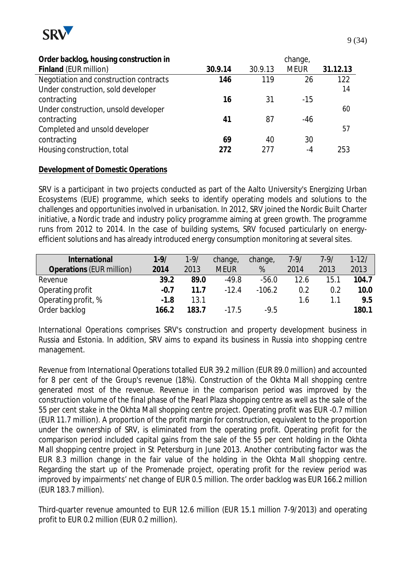

| Order backlog, housing construction in |         |         | change,     |          |
|----------------------------------------|---------|---------|-------------|----------|
| Finland (EUR million)                  | 30.9.14 | 30.9.13 | <b>MEUR</b> | 31.12.13 |
| Negotiation and construction contracts | 146     | 119     | 26          | 122      |
| Under construction, sold developer     |         |         |             | 14       |
| contracting                            | 16      | 31      | $-15$       |          |
| Under construction, unsold developer   |         |         |             | 60       |
| contracting                            | 41      | 87      | -46         |          |
| Completed and unsold developer         |         |         |             | 57       |
| contracting                            | 69      | 40      | 30          |          |
| Housing construction, total            | 272     | 277     | $-4$        | 253      |

## **Development of Domestic Operations**

SRV is a participant in two projects conducted as part of the Aalto University's Energizing Urban Ecosystems (EUE) programme, which seeks to identify operating models and solutions to the challenges and opportunities involved in urbanisation. In 2012, SRV joined the Nordic Built Charter initiative, a Nordic trade and industry policy programme aiming at green growth. The programme runs from 2012 to 2014. In the case of building systems, SRV focused particularly on energyefficient solutions and has already introduced energy consumption monitoring at several sites.

| International            | $1 - 9/$ | $1 - 9/$ | change,     | change,  | $7 - 9/$ | $7 - 9/$ | $1 - 12/$ |
|--------------------------|----------|----------|-------------|----------|----------|----------|-----------|
| Operations (EUR million) | 2014     | 2013     | <b>MEUR</b> | %        | 2014     | 2013     | 2013      |
| Revenue                  | 39.2     | 89.0     | -49.8       | $-56.0$  | 12.6     | 15.1     | 104.7     |
| Operating profit         | $-0.7$   | 11.7     | $-12.4$     | $-106.2$ | 0.2      | 0.2      | 10.0      |
| Operating profit, %      | $-1.8$   | 13.1     |             |          | 1.6      | 1.1      | 9.5       |
| Order backlog            | 166.2    | 183.7    | $-17.5$     | $-9.5$   |          |          | 180.1     |

International Operations comprises SRV's construction and property development business in Russia and Estonia. In addition, SRV aims to expand its business in Russia into shopping centre management.

Revenue from International Operations totalled EUR 39.2 million (EUR 89.0 million) and accounted for 8 per cent of the Group's revenue (18%). Construction of the Okhta Mall shopping centre generated most of the revenue. Revenue in the comparison period was improved by the construction volume of the final phase of the Pearl Plaza shopping centre as well as the sale of the 55 per cent stake in the Okhta Mall shopping centre project. Operating profit was EUR -0.7 million (EUR 11.7 million). A proportion of the profit margin for construction, equivalent to the proportion under the ownership of SRV, is eliminated from the operating profit. Operating profit for the comparison period included capital gains from the sale of the 55 per cent holding in the Okhta Mall shopping centre project in St Petersburg in June 2013. Another contributing factor was the EUR 8.3 million change in the fair value of the holding in the Okhta Mall shopping centre. Regarding the start up of the Promenade project, operating profit for the review period was improved by impairments' net change of EUR 0.5 million. The order backlog was EUR 166.2 million (EUR 183.7 million).

Third-quarter revenue amounted to EUR 12.6 million (EUR 15.1 million 7-9/2013) and operating profit to EUR 0.2 million (EUR 0.2 million).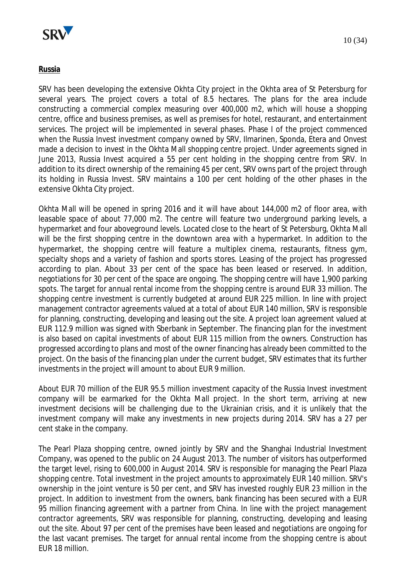

#### **Russia**

SRV has been developing the extensive Okhta City project in the Okhta area of St Petersburg for several years. The project covers a total of 8.5 hectares. The plans for the area include constructing a commercial complex measuring over 400,000 m2, which will house a shopping centre, office and business premises, as well as premises for hotel, restaurant, and entertainment services. The project will be implemented in several phases. Phase I of the project commenced when the Russia Invest investment company owned by SRV, Ilmarinen, Sponda, Etera and Onvest made a decision to invest in the Okhta Mall shopping centre project. Under agreements signed in June 2013, Russia Invest acquired a 55 per cent holding in the shopping centre from SRV. In addition to its direct ownership of the remaining 45 per cent, SRV owns part of the project through its holding in Russia Invest. SRV maintains a 100 per cent holding of the other phases in the extensive Okhta City project.

Okhta Mall will be opened in spring 2016 and it will have about 144,000 m2 of floor area, with leasable space of about 77,000 m2. The centre will feature two underground parking levels, a hypermarket and four aboveground levels. Located close to the heart of St Petersburg, Okhta Mall will be the first shopping centre in the downtown area with a hypermarket. In addition to the hypermarket, the shopping centre will feature a multiplex cinema, restaurants, fitness gym, specialty shops and a variety of fashion and sports stores. Leasing of the project has progressed according to plan. About 33 per cent of the space has been leased or reserved. In addition, negotiations for 30 per cent of the space are ongoing. The shopping centre will have 1,900 parking spots. The target for annual rental income from the shopping centre is around EUR 33 million. The shopping centre investment is currently budgeted at around EUR 225 million. In line with project management contractor agreements valued at a total of about EUR 140 million, SRV is responsible for planning, constructing, developing and leasing out the site. A project loan agreement valued at EUR 112.9 million was signed with Sberbank in September. The financing plan for the investment is also based on capital investments of about EUR 115 million from the owners. Construction has progressed according to plans and most of the owner financing has already been committed to the project. On the basis of the financing plan under the current budget, SRV estimates that its further investments in the project will amount to about EUR 9 million.

About EUR 70 million of the EUR 95.5 million investment capacity of the Russia Invest investment company will be earmarked for the Okhta Mall project. In the short term, arriving at new investment decisions will be challenging due to the Ukrainian crisis, and it is unlikely that the investment company will make any investments in new projects during 2014. SRV has a 27 per cent stake in the company.

The Pearl Plaza shopping centre, owned jointly by SRV and the Shanghai Industrial Investment Company, was opened to the public on 24 August 2013. The number of visitors has outperformed the target level, rising to 600,000 in August 2014. SRV is responsible for managing the Pearl Plaza shopping centre. Total investment in the project amounts to approximately EUR 140 million. SRV's ownership in the joint venture is 50 per cent, and SRV has invested roughly EUR 23 million in the project. In addition to investment from the owners, bank financing has been secured with a EUR 95 million financing agreement with a partner from China. In line with the project management contractor agreements, SRV was responsible for planning, constructing, developing and leasing out the site. About 97 per cent of the premises have been leased and negotiations are ongoing for the last vacant premises. The target for annual rental income from the shopping centre is about EUR 18 million.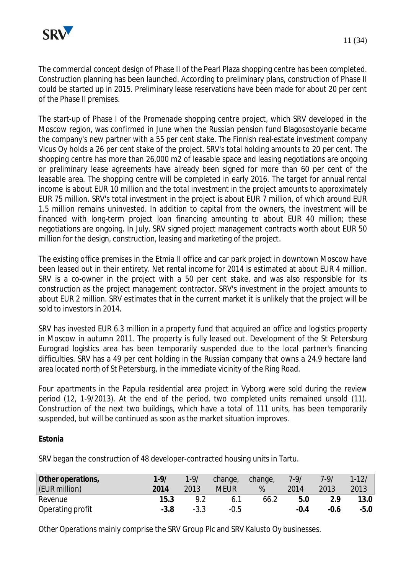

The commercial concept design of Phase II of the Pearl Plaza shopping centre has been completed. Construction planning has been launched. According to preliminary plans, construction of Phase II could be started up in 2015. Preliminary lease reservations have been made for about 20 per cent of the Phase II premises.

The start-up of Phase I of the Promenade shopping centre project, which SRV developed in the Moscow region, was confirmed in June when the Russian pension fund Blagosostoyanie became the company's new partner with a 55 per cent stake. The Finnish real-estate investment company Vicus Oy holds a 26 per cent stake of the project. SRV's total holding amounts to 20 per cent. The shopping centre has more than 26,000 m2 of leasable space and leasing negotiations are ongoing or preliminary lease agreements have already been signed for more than 60 per cent of the leasable area. The shopping centre will be completed in early 2016. The target for annual rental income is about EUR 10 million and the total investment in the project amounts to approximately EUR 75 million. SRV's total investment in the project is about EUR 7 million, of which around EUR 1.5 million remains uninvested. In addition to capital from the owners, the investment will be financed with long-term project loan financing amounting to about EUR 40 million; these negotiations are ongoing. In July, SRV signed project management contracts worth about EUR 50 million for the design, construction, leasing and marketing of the project.

The existing office premises in the Etmia II office and car park project in downtown Moscow have been leased out in their entirety. Net rental income for 2014 is estimated at about EUR 4 million. SRV is a co-owner in the project with a 50 per cent stake, and was also responsible for its construction as the project management contractor. SRV's investment in the project amounts to about EUR 2 million. SRV estimates that in the current market it is unlikely that the project will be sold to investors in 2014.

SRV has invested EUR 6.3 million in a property fund that acquired an office and logistics property in Moscow in autumn 2011. The property is fully leased out. Development of the St Petersburg Eurograd logistics area has been temporarily suspended due to the local partner's financing difficulties. SRV has a 49 per cent holding in the Russian company that owns a 24.9 hectare land area located north of St Petersburg, in the immediate vicinity of the Ring Road.

Four apartments in the Papula residential area project in Vyborg were sold during the review period (12, 1-9/2013). At the end of the period, two completed units remained unsold (11). Construction of the next two buildings, which have a total of 111 units, has been temporarily suspended, but will be continued as soon as the market situation improves.

## **Estonia**

SRV began the construction of 48 developer-contracted housing units in Tartu.

| Other operations, | $1 - 9/$ | $1 - 9/$ | change,     | change, | $7 - 9/$ | 7.9/   | $1 - 12/$ |
|-------------------|----------|----------|-------------|---------|----------|--------|-----------|
| (EUR million)     | 2014     | 2013     | <b>MEUR</b> | %       | 2014     | 2013   | 2013      |
| Revenue           | 15.3     | 92       | 6.1         | 66.2    | 5.0      | 2.9    | 13.0      |
| Operating profit  | $-3.8$   | $-3.3$   | $-0.5$      |         | $-0.4$   | $-0.6$ | $-5.0$    |

Other Operations mainly comprise the SRV Group Plc and SRV Kalusto Oy businesses.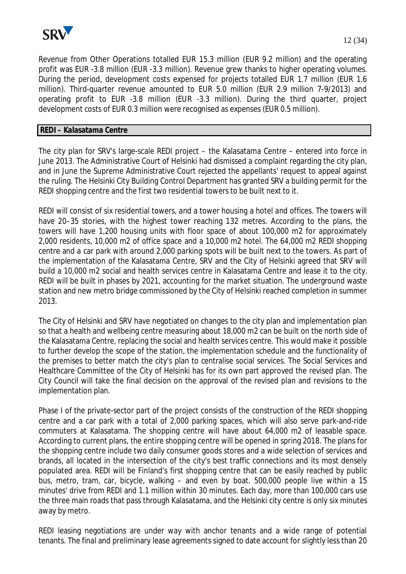

Revenue from Other Operations totalled EUR 15.3 million (EUR 9.2 million) and the operating profit was EUR -3.8 million (EUR -3.3 million). Revenue grew thanks to higher operating volumes. During the period, development costs expensed for projects totalled EUR 1.7 million (EUR 1.6 million). Third-quarter revenue amounted to EUR 5.0 million (EUR 2.9 million 7-9/2013) and operating profit to EUR -3.8 million (EUR -3.3 million). During the third quarter, project development costs of EUR 0.3 million were recognised as expenses (EUR 0.5 million).

## **REDI – Kalasatama Centre**

The city plan for SRV's large-scale REDI project – the Kalasatama Centre – entered into force in June 2013. The Administrative Court of Helsinki had dismissed a complaint regarding the city plan, and in June the Supreme Administrative Court rejected the appellants' request to appeal against the ruling. The Helsinki City Building Control Department has granted SRV a building permit for the REDI shopping centre and the first two residential towers to be built next to it.

REDI will consist of six residential towers, and a tower housing a hotel and offices. The towers will have 20–35 stories, with the highest tower reaching 132 metres. According to the plans, the towers will have 1,200 housing units with floor space of about 100,000 m2 for approximately 2,000 residents, 10,000 m2 of office space and a 10,000 m2 hotel. The 64,000 m2 REDI shopping centre and a car park with around 2,000 parking spots will be built next to the towers. As part of the implementation of the Kalasatama Centre, SRV and the City of Helsinki agreed that SRV will build a 10,000 m2 social and health services centre in Kalasatama Centre and lease it to the city. REDI will be built in phases by 2021, accounting for the market situation. The underground waste station and new metro bridge commissioned by the City of Helsinki reached completion in summer 2013.

The City of Helsinki and SRV have negotiated on changes to the city plan and implementation plan so that a health and wellbeing centre measuring about 18,000 m2 can be built on the north side of the Kalasatama Centre, replacing the social and health services centre. This would make it possible to further develop the scope of the station, the implementation schedule and the functionality of the premises to better match the city's plan to centralise social services. The Social Services and Healthcare Committee of the City of Helsinki has for its own part approved the revised plan. The City Council will take the final decision on the approval of the revised plan and revisions to the implementation plan.

Phase I of the private-sector part of the project consists of the construction of the REDI shopping centre and a car park with a total of 2,000 parking spaces, which will also serve park-and-ride commuters at Kalasatama. The shopping centre will have about 64,000 m2 of leasable space. According to current plans, the entire shopping centre will be opened in spring 2018. The plans for the shopping centre include two daily consumer goods stores and a wide selection of services and brands, all located in the intersection of the city's best traffic connections and its most densely populated area. REDI will be Finland's first shopping centre that can be easily reached by public bus, metro, tram, car, bicycle, walking – and even by boat. 500,000 people live within a 15 minutes' drive from REDI and 1.1 million within 30 minutes. Each day, more than 100,000 cars use the three main roads that pass through Kalasatama, and the Helsinki city centre is only six minutes away by metro.

REDI leasing negotiations are under way with anchor tenants and a wide range of potential tenants. The final and preliminary lease agreements signed to date account for slightly less than 20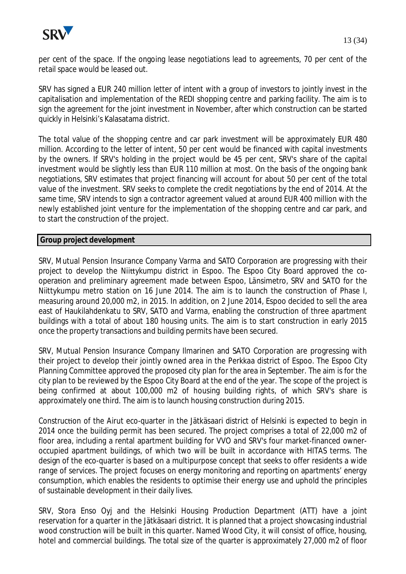

per cent of the space. If the ongoing lease negotiations lead to agreements, 70 per cent of the retail space would be leased out.

SRV has signed a EUR 240 million letter of intent with a group of investors to jointly invest in the capitalisation and implementation of the REDI shopping centre and parking facility. The aim is to sign the agreement for the joint investment in November, after which construction can be started quickly in Helsinki's Kalasatama district.

The total value of the shopping centre and car park investment will be approximately EUR 480 million. According to the letter of intent, 50 per cent would be financed with capital investments by the owners. If SRV's holding in the project would be 45 per cent, SRV's share of the capital investment would be slightly less than EUR 110 million at most. On the basis of the ongoing bank negotiations, SRV estimates that project financing will account for about 50 per cent of the total value of the investment. SRV seeks to complete the credit negotiations by the end of 2014. At the same time, SRV intends to sign a contractor agreement valued at around EUR 400 million with the newly established joint venture for the implementation of the shopping centre and car park, and to start the construction of the project.

#### **Group project development**

SRV, Mutual Pension Insurance Company Varma and SATO Corporation are progressing with their project to develop the Niittykumpu district in Espoo. The Espoo City Board approved the cooperaƟon and preliminary agreement made between Espoo, Länsimetro, SRV and SATO for the Niittykumpu metro station on 16 June 2014. The aim is to launch the construction of Phase I, measuring around 20,000 m2, in 2015. In addition, on 2 June 2014, Espoo decided to sell the area east of Haukilahdenkatu to SRV, SATO and Varma, enabling the construction of three apartment buildings with a total of about 180 housing units. The aim is to start construction in early 2015 once the property transactions and building permits have been secured.

SRV, Mutual Pension Insurance Company Ilmarinen and SATO Corporation are progressing with their project to develop their jointly owned area in the Perkkaa district of Espoo. The Espoo City Planning Committee approved the proposed city plan for the area in September. The aim is for the city plan to be reviewed by the Espoo City Board at the end of the year. The scope of the project is being confirmed at about 100,000 m2 of housing building rights, of which SRV's share is approximately one third. The aim is to launch housing construction during 2015.

ConstrucƟon of the Airut eco-quarter in the Jätkäsaari district of Helsinki is expected to begin in 2014 once the building permit has been secured. The project comprises a total of 22,000 m2 of floor area, including a rental apartment building for VVO and SRV's four market-financed owneroccupied apartment buildings, of which two will be built in accordance with HITAS terms. The design of the eco-quarter is based on a multipurpose concept that seeks to offer residents a wide range of services. The project focuses on energy monitoring and reporting on apartments' energy consumption, which enables the residents to optimise their energy use and uphold the principles of sustainable development in their daily lives.

SRV, Stora Enso Oyj and the Helsinki Housing Production Department (ATT) have a joint reservation for a quarter in the Jätkäsaari district. It is planned that a project showcasing industrial wood construction will be built in this quarter. Named Wood City, it will consist of office, housing, hotel and commercial buildings. The total size of the quarter is approximately 27,000 m2 of floor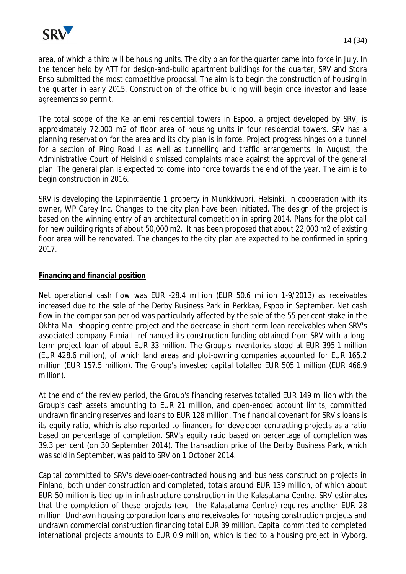

area, of which a third will be housing units. The city plan for the quarter came into force in July. In the tender held by ATT for design-and-build apartment buildings for the quarter, SRV and Stora Enso submitted the most competitive proposal. The aim is to begin the construction of housing in the quarter in early 2015. Construction of the office building will begin once investor and lease agreements so permit.

The total scope of the Keilaniemi residential towers in Espoo, a project developed by SRV, is approximately 72,000 m2 of floor area of housing units in four residential towers. SRV has a planning reservation for the area and its city plan is in force. Project progress hinges on a tunnel for a section of Ring Road I as well as tunnelling and traffic arrangements. In August, the Administrative Court of Helsinki dismissed complaints made against the approval of the general plan. The general plan is expected to come into force towards the end of the year. The aim is to begin construction in 2016.

SRV is developing the Lapinmäentie 1 property in Munkkivuori, Helsinki, in cooperation with its owner, WP Carey Inc. Changes to the city plan have been initiated. The design of the project is based on the winning entry of an architectural competition in spring 2014. Plans for the plot call for new building rights of about 50,000 m2. It has been proposed that about 22,000 m2 of existing floor area will be renovated. The changes to the city plan are expected to be confirmed in spring 2017.

## **Financing and financial position**

Net operational cash flow was EUR -28.4 million (EUR 50.6 million 1-9/2013) as receivables increased due to the sale of the Derby Business Park in Perkkaa, Espoo in September. Net cash flow in the comparison period was particularly affected by the sale of the 55 per cent stake in the Okhta Mall shopping centre project and the decrease in short-term loan receivables when SRV's associated company Etmia II refinanced its construction funding obtained from SRV with a longterm project loan of about EUR 33 million. The Group's inventories stood at EUR 395.1 million (EUR 428.6 million), of which land areas and plot-owning companies accounted for EUR 165.2 million (EUR 157.5 million). The Group's invested capital totalled EUR 505.1 million (EUR 466.9 million).

At the end of the review period, the Group's financing reserves totalled EUR 149 million with the Group's cash assets amounting to EUR 21 million, and open-ended account limits, committed undrawn financing reserves and loans to EUR 128 million. The financial covenant for SRV's loans is its equity ratio, which is also reported to financers for developer contracting projects as a ratio based on percentage of completion. SRV's equity ratio based on percentage of completion was 39.3 per cent (on 30 September 2014). The transaction price of the Derby Business Park, which was sold in September, was paid to SRV on 1 October 2014.

Capital committed to SRV's developer-contracted housing and business construction projects in Finland, both under construction and completed, totals around EUR 139 million, of which about EUR 50 million is tied up in infrastructure construction in the Kalasatama Centre. SRV estimates that the completion of these projects (excl. the Kalasatama Centre) requires another EUR 28 million. Undrawn housing corporation loans and receivables for housing construction projects and undrawn commercial construction financing total EUR 39 million. Capital committed to completed international projects amounts to EUR 0.9 million, which is tied to a housing project in Vyborg.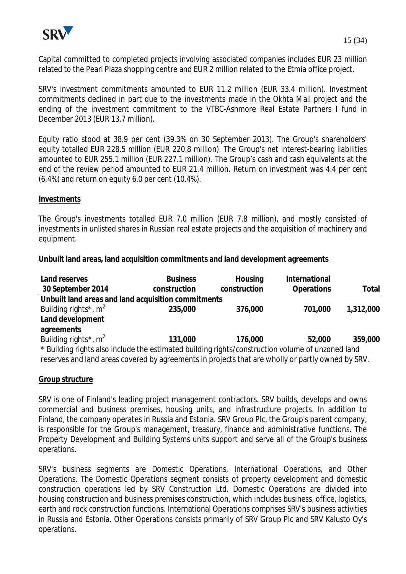

Capital committed to completed projects involving associated companies includes EUR 23 million related to the Pearl Plaza shopping centre and EUR 2 million related to the Etmia office project.

SRV's investment commitments amounted to EUR 11.2 million (EUR 33.4 million). Investment commitments declined in part due to the investments made in the Okhta Mall project and the ending of the investment commitment to the VTBC-Ashmore Real Estate Partners I fund in December 2013 (EUR 13.7 million).

Equity ratio stood at 38.9 per cent (39.3% on 30 September 2013). The Group's shareholders' equity totalled EUR 228.5 million (EUR 220.8 million). The Group's net interest-bearing liabilities amounted to EUR 255.1 million (EUR 227.1 million). The Group's cash and cash equivalents at the end of the review period amounted to EUR 21.4 million. Return on investment was 4.4 per cent (6.4%) and return on equity 6.0 per cent (10.4%).

#### **Investments**

The Group's investments totalled EUR 7.0 million (EUR 7.8 million), and mostly consisted of investments in unlisted shares in Russian real estate projects and the acquisition of machinery and equipment.

#### **Unbuilt land areas, land acquisition commitments and land development agreements**

| Land reserves                                                                                     | <b>Business</b> | Housing      | International |           |  |  |  |
|---------------------------------------------------------------------------------------------------|-----------------|--------------|---------------|-----------|--|--|--|
| 30 September 2014                                                                                 | construction    | construction | Operations    | Total     |  |  |  |
| Unbuilt land areas and land acquisition commitments                                               |                 |              |               |           |  |  |  |
| Building rights <sup>*</sup> , $m2$                                                               | 235,000         | 376,000      | 701,000       | 1,312,000 |  |  |  |
| Land development                                                                                  |                 |              |               |           |  |  |  |
| agreements                                                                                        |                 |              |               |           |  |  |  |
| Building rights <sup>*</sup> , $m^2$                                                              | 131,000         | 176,000      | 52,000        | 359,000   |  |  |  |
| * Building rights also include the estimated building rights/construction volume of unzoned land  |                 |              |               |           |  |  |  |
| reserves and land areas covered by agreements in projects that are wholly or partly owned by SRV. |                 |              |               |           |  |  |  |

## **Group structure**

SRV is one of Finland's leading project management contractors. SRV builds, develops and owns commercial and business premises, housing units, and infrastructure projects. In addition to Finland, the company operates in Russia and Estonia. SRV Group Plc, the Group's parent company, is responsible for the Group's management, treasury, finance and administrative functions. The Property Development and Building Systems units support and serve all of the Group's business operations.

SRV's business segments are Domestic Operations, International Operations, and Other Operations. The Domestic Operations segment consists of property development and domestic construction operations led by SRV Construction Ltd. Domestic Operations are divided into housing construction and business premises construction, which includes business, office, logistics, earth and rock construction functions. International Operations comprises SRV's business activities in Russia and Estonia. Other Operations consists primarily of SRV Group Plc and SRV Kalusto Oy's operations.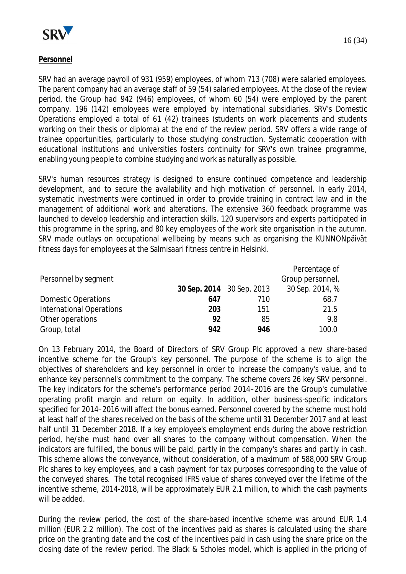

## **Personnel**

SRV had an average payroll of 931 (959) employees, of whom 713 (708) were salaried employees. The parent company had an average staff of 59 (54) salaried employees. At the close of the review period, the Group had 942 (946) employees, of whom 60 (54) were employed by the parent company. 196 (142) employees were employed by international subsidiaries. SRV's Domestic Operations employed a total of 61 (42) trainees (students on work placements and students working on their thesis or diploma) at the end of the review period. SRV offers a wide range of trainee opportunities, particularly to those studying construction. Systematic cooperation with educational institutions and universities fosters continuity for SRV's own trainee programme, enabling young people to combine studying and work as naturally as possible.

SRV's human resources strategy is designed to ensure continued competence and leadership development, and to secure the availability and high motivation of personnel. In early 2014, systematic investments were continued in order to provide training in contract law and in the management of additional work and alterations. The extensive 360 feedback programme was launched to develop leadership and interaction skills. 120 supervisors and experts participated in this programme in the spring, and 80 key employees of the work site organisation in the autumn. SRV made outlays on occupational wellbeing by means such as organising the KUNNONpäivät fitness days for employees at the Salmisaari fitness centre in Helsinki.

|                                 |     |                           | Percentage of    |
|---------------------------------|-----|---------------------------|------------------|
| Personnel by segment            |     |                           | Group personnel, |
|                                 |     | 30 Sep. 2014 30 Sep. 2013 | 30 Sep. 2014, %  |
| <b>Domestic Operations</b>      | 647 | 710                       | 68.7             |
| <b>International Operations</b> | 203 | 151                       | 21.5             |
| Other operations                | 92  | 85                        | 9.8              |
| Group, total                    | 942 | 946                       | 100.0            |

On 13 February 2014, the Board of Directors of SRV Group Plc approved a new share-based incentive scheme for the Group's key personnel. The purpose of the scheme is to align the objectives of shareholders and key personnel in order to increase the company's value, and to enhance key personnel's commitment to the company. The scheme covers 26 key SRV personnel. The key indicators for the scheme's performance period 2014–2016 are the Group's cumulative operating profit margin and return on equity. In addition, other business-specific indicators specified for 2014–2016 will affect the bonus earned. Personnel covered by the scheme must hold at least half of the shares received on the basis of the scheme until 31 December 2017 and at least half until 31 December 2018. If a key employee's employment ends during the above restriction period, he/she must hand over all shares to the company without compensation. When the indicators are fulfilled, the bonus will be paid, partly in the company's shares and partly in cash. This scheme allows the conveyance, without consideration, of a maximum of 588,000 SRV Group Plc shares to key employees, and a cash payment for tax purposes corresponding to the value of the conveyed shares. The total recognised IFRS value of shares conveyed over the lifetime of the incentive scheme, 2014-2018, will be approximately EUR 2.1 million, to which the cash payments will be added.

During the review period, the cost of the share-based incentive scheme was around EUR 1.4 million (EUR 2.2 million). The cost of the incentives paid as shares is calculated using the share price on the granting date and the cost of the incentives paid in cash using the share price on the closing date of the review period. The Black & Scholes model, which is applied in the pricing of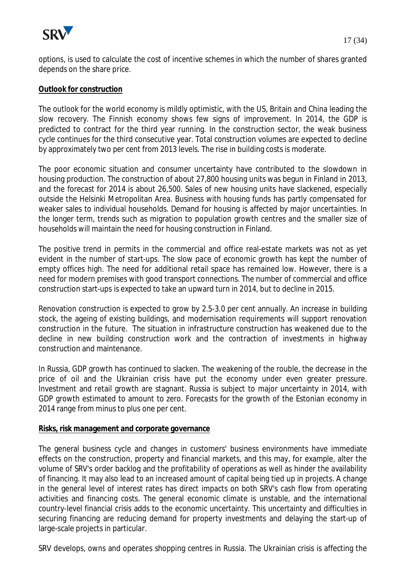

options, is used to calculate the cost of incentive schemes in which the number of shares granted depends on the share price.

#### **Outlook for construction**

The outlook for the world economy is mildly optimistic, with the US, Britain and China leading the slow recovery. The Finnish economy shows few signs of improvement. In 2014, the GDP is predicted to contract for the third year running. In the construction sector, the weak business cycle continues for the third consecutive year. Total construction volumes are expected to decline by approximately two per cent from 2013 levels. The rise in building costs is moderate.

The poor economic situation and consumer uncertainty have contributed to the slowdown in housing production. The construction of about 27,800 housing units was begun in Finland in 2013, and the forecast for 2014 is about 26,500. Sales of new housing units have slackened, especially outside the Helsinki Metropolitan Area. Business with housing funds has partly compensated for weaker sales to individual households. Demand for housing is affected by major uncertainties. In the longer term, trends such as migration to population growth centres and the smaller size of households will maintain the need for housing construction in Finland.

The positive trend in permits in the commercial and office real-estate markets was not as yet evident in the number of start-ups. The slow pace of economic growth has kept the number of empty offices high. The need for additional retail space has remained low. However, there is a need for modern premises with good transport connections. The number of commercial and office construction start-ups is expected to take an upward turn in 2014, but to decline in 2015.

Renovation construction is expected to grow by 2.5-3.0 per cent annually. An increase in building stock, the ageing of existing buildings, and modernisation requirements will support renovation construction in the future. The situation in infrastructure construction has weakened due to the decline in new building construction work and the contraction of investments in highway construction and maintenance.

In Russia, GDP growth has continued to slacken. The weakening of the rouble, the decrease in the price of oil and the Ukrainian crisis have put the economy under even greater pressure. Investment and retail growth are stagnant. Russia is subject to major uncertainty in 2014, with GDP growth estimated to amount to zero. Forecasts for the growth of the Estonian economy in 2014 range from minus to plus one per cent.

#### **Risks, risk management and corporate governance**

The general business cycle and changes in customers' business environments have immediate effects on the construction, property and financial markets, and this may, for example, alter the volume of SRV's order backlog and the profitability of operations as well as hinder the availability of financing. It may also lead to an increased amount of capital being tied up in projects. A change in the general level of interest rates has direct impacts on both SRV's cash flow from operating activities and financing costs. The general economic climate is unstable, and the international country-level financial crisis adds to the economic uncertainty. This uncertainty and difficulties in securing financing are reducing demand for property investments and delaying the start-up of large-scale projects in particular.

SRV develops, owns and operates shopping centres in Russia. The Ukrainian crisis is affecting the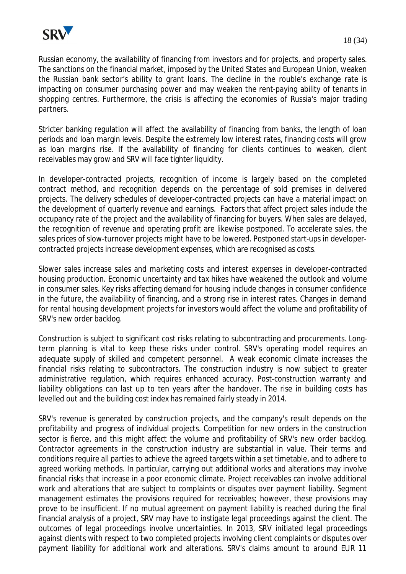

Russian economy, the availability of financing from investors and for projects, and property sales. The sanctions on the financial market, imposed by the United States and European Union, weaken the Russian bank sector's ability to grant loans. The decline in the rouble's exchange rate is impacting on consumer purchasing power and may weaken the rent-paying ability of tenants in shopping centres. Furthermore, the crisis is affecting the economies of Russia's major trading partners.

Stricter banking regulation will affect the availability of financing from banks, the length of loan periods and loan margin levels. Despite the extremely low interest rates, financing costs will grow as loan margins rise. If the availability of financing for clients continues to weaken, client receivables may grow and SRV will face tighter liquidity.

In developer-contracted projects, recognition of income is largely based on the completed contract method, and recognition depends on the percentage of sold premises in delivered projects. The delivery schedules of developer-contracted projects can have a material impact on the development of quarterly revenue and earnings. Factors that affect project sales include the occupancy rate of the project and the availability of financing for buyers. When sales are delayed, the recognition of revenue and operating profit are likewise postponed. To accelerate sales, the sales prices of slow-turnover projects might have to be lowered. Postponed start-ups in developercontracted projects increase development expenses, which are recognised as costs.

Slower sales increase sales and marketing costs and interest expenses in developer-contracted housing production. Economic uncertainty and tax hikes have weakened the outlook and volume in consumer sales. Key risks affecting demand for housing include changes in consumer confidence in the future, the availability of financing, and a strong rise in interest rates. Changes in demand for rental housing development projects for investors would affect the volume and profitability of SRV's new order backlog.

Construction is subject to significant cost risks relating to subcontracting and procurements. Longterm planning is vital to keep these risks under control. SRV's operating model requires an adequate supply of skilled and competent personnel. A weak economic climate increases the financial risks relating to subcontractors. The construction industry is now subject to greater administrative regulation, which requires enhanced accuracy. Post-construction warranty and liability obligations can last up to ten years after the handover. The rise in building costs has levelled out and the building cost index has remained fairly steady in 2014.

SRV's revenue is generated by construction projects, and the company's result depends on the profitability and progress of individual projects. Competition for new orders in the construction sector is fierce, and this might affect the volume and profitability of SRV's new order backlog. Contractor agreements in the construction industry are substantial in value. Their terms and conditions require all parties to achieve the agreed targets within a set timetable, and to adhere to agreed working methods. In particular, carrying out additional works and alterations may involve financial risks that increase in a poor economic climate. Project receivables can involve additional work and alterations that are subject to complaints or disputes over payment liability. Segment management estimates the provisions required for receivables; however, these provisions may prove to be insufficient. If no mutual agreement on payment liability is reached during the final financial analysis of a project, SRV may have to instigate legal proceedings against the client. The outcomes of legal proceedings involve uncertainties. In 2013, SRV initiated legal proceedings against clients with respect to two completed projects involving client complaints or disputes over payment liability for additional work and alterations. SRV's claims amount to around EUR 11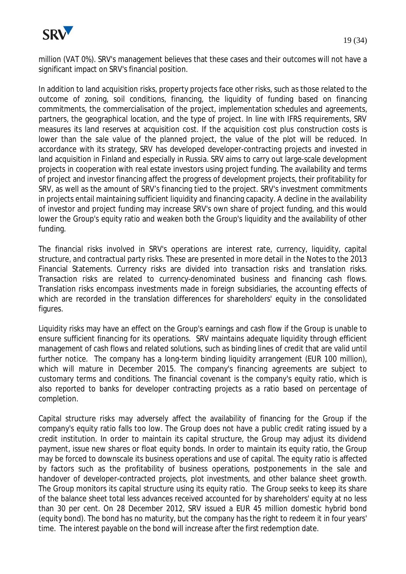

million (VAT 0%). SRV's management believes that these cases and their outcomes will not have a significant impact on SRV's financial position.

In addition to land acquisition risks, property projects face other risks, such as those related to the outcome of zoning, soil conditions, financing, the liquidity of funding based on financing commitments, the commercialisation of the project, implementation schedules and agreements, partners, the geographical location, and the type of project. In line with IFRS requirements, SRV measures its land reserves at acquisition cost. If the acquisition cost plus construction costs is lower than the sale value of the planned project, the value of the plot will be reduced. In accordance with its strategy, SRV has developed developer-contracting projects and invested in land acquisition in Finland and especially in Russia. SRV aims to carry out large-scale development projects in cooperation with real estate investors using project funding. The availability and terms of project and investor financing affect the progress of development projects, their profitability for SRV, as well as the amount of SRV's financing tied to the project. SRV's investment commitments in projects entail maintaining sufficient liquidity and financing capacity. A decline in the availability of investor and project funding may increase SRV's own share of project funding, and this would lower the Group's equity ratio and weaken both the Group's liquidity and the availability of other funding.

The financial risks involved in SRV's operations are interest rate, currency, liquidity, capital structure, and contractual party risks. These are presented in more detail in the Notes to the 2013 Financial Statements. Currency risks are divided into transaction risks and translation risks. Transaction risks are related to currency-denominated business and financing cash flows. Translation risks encompass investments made in foreign subsidiaries, the accounting effects of which are recorded in the translation differences for shareholders' equity in the consolidated figures.

Liquidity risks may have an effect on the Group's earnings and cash flow if the Group is unable to ensure sufficient financing for its operations. SRV maintains adequate liquidity through efficient management of cash flows and related solutions, such as binding lines of credit that are valid until further notice. The company has a long-term binding liquidity arrangement (EUR 100 million), which will mature in December 2015. The company's financing agreements are subject to customary terms and conditions. The financial covenant is the company's equity ratio, which is also reported to banks for developer contracting projects as a ratio based on percentage of completion.

Capital structure risks may adversely affect the availability of financing for the Group if the company's equity ratio falls too low. The Group does not have a public credit rating issued by a credit institution. In order to maintain its capital structure, the Group may adjust its dividend payment, issue new shares or float equity bonds. In order to maintain its equity ratio, the Group may be forced to downscale its business operations and use of capital. The equity ratio is affected by factors such as the profitability of business operations, postponements in the sale and handover of developer-contracted projects, plot investments, and other balance sheet growth. The Group monitors its capital structure using its equity ratio. The Group seeks to keep its share of the balance sheet total less advances received accounted for by shareholders' equity at no less than 30 per cent. On 28 December 2012, SRV issued a EUR 45 million domestic hybrid bond (equity bond). The bond has no maturity, but the company has the right to redeem it in four years' time. The interest payable on the bond will increase after the first redemption date.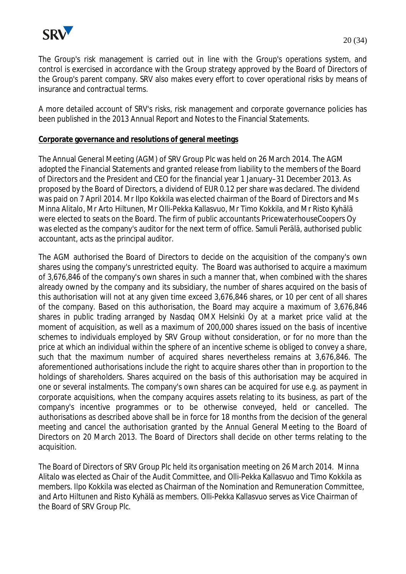

The Group's risk management is carried out in line with the Group's operations system, and control is exercised in accordance with the Group strategy approved by the Board of Directors of the Group's parent company. SRV also makes every effort to cover operational risks by means of insurance and contractual terms.

A more detailed account of SRV's risks, risk management and corporate governance policies has been published in the 2013 Annual Report and Notes to the Financial Statements.

#### **Corporate governance and resolutions of general meetings**

The Annual General Meeting (AGM) of SRV Group Plc was held on 26 March 2014. The AGM adopted the Financial Statements and granted release from liability to the members of the Board of Directors and the President and CEO for the financial year 1 January–31 December 2013. As proposed by the Board of Directors, a dividend of EUR 0.12 per share was declared. The dividend was paid on 7 April 2014. Mr Ilpo Kokkila was elected chairman of the Board of Directors and Ms Minna Alitalo, Mr Arto Hiltunen, Mr Olli-Pekka Kallasvuo, Mr Timo Kokkila, and Mr Risto Kyhälä were elected to seats on the Board. The firm of public accountants PricewaterhouseCoopers Oy was elected as the company's auditor for the next term of office. Samuli Perälä, authorised public accountant, acts as the principal auditor.

The AGM authorised the Board of Directors to decide on the acquisition of the company's own shares using the company's unrestricted equity. The Board was authorised to acquire a maximum of 3,676,846 of the company's own shares in such a manner that, when combined with the shares already owned by the company and its subsidiary, the number of shares acquired on the basis of this authorisation will not at any given time exceed 3,676,846 shares, or 10 per cent of all shares of the company. Based on this authorisation, the Board may acquire a maximum of 3,676,846 shares in public trading arranged by Nasdaq OMX Helsinki Oy at a market price valid at the moment of acquisition, as well as a maximum of 200,000 shares issued on the basis of incentive schemes to individuals employed by SRV Group without consideration, or for no more than the price at which an individual within the sphere of an incentive scheme is obliged to convey a share, such that the maximum number of acquired shares nevertheless remains at 3,676,846. The aforementioned authorisations include the right to acquire shares other than in proportion to the holdings of shareholders. Shares acquired on the basis of this authorisation may be acquired in one or several instalments. The company's own shares can be acquired for use e.g. as payment in corporate acquisitions, when the company acquires assets relating to its business, as part of the company's incentive programmes or to be otherwise conveyed, held or cancelled. The authorisations as described above shall be in force for 18 months from the decision of the general meeting and cancel the authorisation granted by the Annual General Meeting to the Board of Directors on 20 March 2013. The Board of Directors shall decide on other terms relating to the acquisition.

The Board of Directors of SRV Group Plc held its organisation meeting on 26 March 2014. Minna Alitalo was elected as Chair of the Audit Committee, and Olli-Pekka Kallasvuo and Timo Kokkila as members. Ilpo Kokkila was elected as Chairman of the Nomination and Remuneration Committee, and Arto Hiltunen and Risto Kyhälä as members. Olli-Pekka Kallasvuo serves as Vice Chairman of the Board of SRV Group Plc.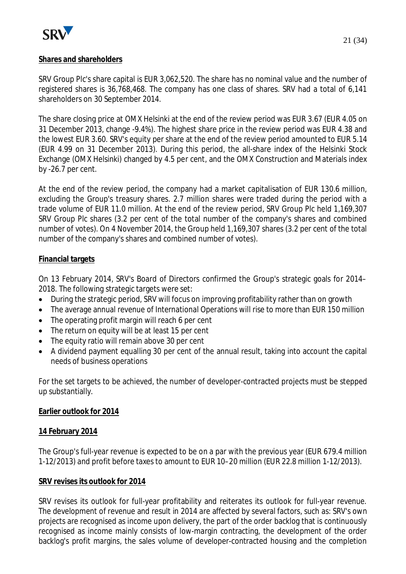

## **Shares and shareholders**

SRV Group Plc's share capital is EUR 3,062,520. The share has no nominal value and the number of registered shares is 36,768,468. The company has one class of shares. SRV had a total of 6,141 shareholders on 30 September 2014.

The share closing price at OMX Helsinki at the end of the review period was EUR 3.67 (EUR 4.05 on 31 December 2013, change -9.4%). The highest share price in the review period was EUR 4.38 and the lowest EUR 3.60. SRV's equity per share at the end of the review period amounted to EUR 5.14 (EUR 4.99 on 31 December 2013). During this period, the all-share index of the Helsinki Stock Exchange (OMX Helsinki) changed by 4.5 per cent, and the OMX Construction and Materials index by -26.7 per cent.

At the end of the review period, the company had a market capitalisation of EUR 130.6 million, excluding the Group's treasury shares. 2.7 million shares were traded during the period with a trade volume of EUR 11.0 million. At the end of the review period, SRV Group Plc held 1,169,307 SRV Group Plc shares (3.2 per cent of the total number of the company's shares and combined number of votes). On 4 November 2014, the Group held 1,169,307 shares (3.2 per cent of the total number of the company's shares and combined number of votes).

## **Financial targets**

On 13 February 2014, SRV's Board of Directors confirmed the Group's strategic goals for 2014– 2018. The following strategic targets were set:

- During the strategic period, SRV will focus on improving profitability rather than on growth
- The average annual revenue of International Operations will rise to more than EUR 150 million
- $\bullet$  The operating profit margin will reach 6 per cent
- The return on equity will be at least 15 per cent
- $\bullet$  The equity ratio will remain above 30 per cent
- A dividend payment equalling 30 per cent of the annual result, taking into account the capital needs of business operations

For the set targets to be achieved, the number of developer-contracted projects must be stepped up substantially.

## **Earlier outlook for 2014**

## **14 February 2014**

The Group's full-year revenue is expected to be on a par with the previous year (EUR 679.4 million 1-12/2013) and profit before taxes to amount to EUR 10–20 million (EUR 22.8 million 1-12/2013).

## **SRV revises its outlook for 2014**

SRV revises its outlook for full-year profitability and reiterates its outlook for full-year revenue. The development of revenue and result in 2014 are affected by several factors, such as: SRV's own projects are recognised as income upon delivery, the part of the order backlog that is continuously recognised as income mainly consists of low-margin contracting, the development of the order backlog's profit margins, the sales volume of developer-contracted housing and the completion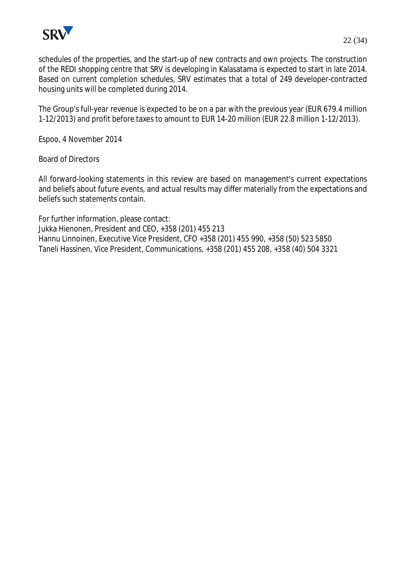

schedules of the properties, and the start-up of new contracts and own projects. The construction of the REDI shopping centre that SRV is developing in Kalasatama is expected to start in late 2014. Based on current completion schedules, SRV estimates that a total of 249 developer-contracted housing units will be completed during 2014.

The Group's full-year revenue is expected to be on a par with the previous year (EUR 679.4 million 1-12/2013) and profit before taxes to amount to EUR 14-20 million (EUR 22.8 million 1-12/2013).

Espoo, 4 November 2014

Board of Directors

All forward-looking statements in this review are based on management's current expectations and beliefs about future events, and actual results may differ materially from the expectations and beliefs such statements contain.

For further information, please contact: Jukka Hienonen, President and CEO, +358 (201) 455 213 Hannu Linnoinen, Executive Vice President, CFO +358 (201) 455 990, +358 (50) 523 5850 Taneli Hassinen, Vice President, Communications, +358 (201) 455 208, +358 (40) 504 3321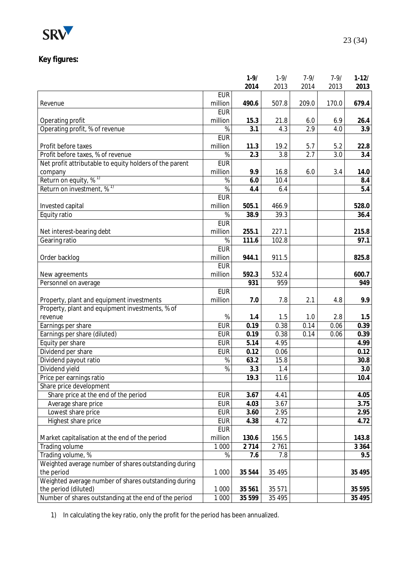

## **Key figures:**

|                                                         |               | $1 - 9/$          | $1 - 9/$ | $7 - 9/$ | $7-9/$ | $1-12/$ |
|---------------------------------------------------------|---------------|-------------------|----------|----------|--------|---------|
|                                                         |               | 2014              | 2013     | 2014     | 2013   | 2013    |
|                                                         | <b>EUR</b>    |                   |          |          |        |         |
| Revenue                                                 | million       | 490.6             | 507.8    | 209.0    | 170.0  | 679.4   |
|                                                         | <b>EUR</b>    |                   |          |          |        |         |
| Operating profit                                        | million       | 15.3              | 21.8     | $6.0\,$  | 6.9    | 26.4    |
| Operating profit, % of revenue                          | $\%$          | 3.1               | 4.3      | 2.9      | 4.0    | 3.9     |
|                                                         | <b>EUR</b>    |                   |          |          |        |         |
| Profit before taxes                                     | million       | 11.3              | 19.2     | 5.7      | 5.2    | 22.8    |
| Profit before taxes, % of revenue                       | $\%$          | 2.3               | 3.8      | 2.7      | 3.0    | 3.4     |
| Net profit attributable to equity holders of the parent | <b>EUR</b>    |                   |          |          |        |         |
| company                                                 | million       | 9.9               | 16.8     | 6.0      | 3.4    | 14.0    |
| Return on equity, % <sup>1)</sup>                       | $\frac{1}{6}$ | 6.0               | 10.4     |          |        | 8.4     |
| Return on investment, % <sup>1)</sup>                   | $\%$          | 4.4               | 6.4      |          |        | 5.4     |
|                                                         | <b>EUR</b>    |                   |          |          |        |         |
| Invested capital                                        | million       | 505.1             | 466.9    |          |        | 528.0   |
| Equity ratio                                            | $\%$          | 38.9              | 39.3     |          |        | 36.4    |
|                                                         | <b>EUR</b>    |                   |          |          |        |         |
| Net interest-bearing debt                               | million       | 255.1             | 227.1    |          |        | 215.8   |
| Gearing ratio                                           | $\%$          | 111.6             | 102.8    |          |        | 97.1    |
|                                                         | <b>EUR</b>    |                   |          |          |        |         |
| Order backlog                                           | million       | 944.1             | 911.5    |          |        | 825.8   |
|                                                         | <b>EUR</b>    |                   |          |          |        |         |
| New agreements                                          | million       | 592.3             | 532.4    |          |        | 600.7   |
| Personnel on average                                    |               | 931               | 959      |          |        | 949     |
|                                                         | <b>EUR</b>    |                   |          |          |        |         |
| Property, plant and equipment investments               | million       | 7.0               | 7.8      | 2.1      | 4.8    | 9.9     |
| Property, plant and equipment investments, % of         |               |                   |          |          |        |         |
| revenue                                                 | $\%$          | 1.4               | 1.5      | 1.0      | 2.8    | 1.5     |
| Earnings per share                                      | <b>EUR</b>    | 0.19              | 0.38     | 0.14     | 0.06   | 0.39    |
| Earnings per share (diluted)                            | <b>EUR</b>    | 0.19              | 0.38     | 0.14     | 0.06   | 0.39    |
| Equity per share                                        | <b>EUR</b>    | 5.14              | 4.95     |          |        | 4.99    |
| Dividend per share                                      | <b>EUR</b>    | 0.12              | 0.06     |          |        | 0.12    |
|                                                         | $\%$          |                   | 15.8     |          |        | 30.8    |
| Dividend payout ratio                                   |               | 63.2              |          |          |        |         |
| Dividend yield                                          | $\frac{1}{6}$ | 3.3               | 1.4      |          |        | 3.0     |
| Price per earnings ratio                                |               | 19.3              | 11.6     |          |        | 10.4    |
| Share price development                                 |               |                   |          |          |        |         |
| Share price at the end of the period                    | <b>EUR</b>    | $\overline{3.67}$ | 4.41     |          |        | 4.05    |
| Average share price                                     | <b>EUR</b>    | 4.03              | 3.67     |          |        | 3.75    |
| Lowest share price                                      | <b>EUR</b>    | 3.60              | 2.95     |          |        | 2.95    |
| Highest share price                                     | <b>EUR</b>    | 4.38              | 4.72     |          |        | 4.72    |
|                                                         | <b>EUR</b>    |                   |          |          |        |         |
| Market capitalisation at the end of the period          | million       | 130.6             | 156.5    |          |        | 143.8   |
| Trading volume                                          | 1 0 0 0       | 2 7 1 4           | 2761     |          |        | 3 3 6 4 |
| Trading volume, %                                       | %             | 7.6               | 7.8      |          |        | 9.5     |
| Weighted average number of shares outstanding during    |               |                   |          |          |        |         |
| the period                                              | 1 0 0 0       | 35 544            | 35 4 95  |          |        | 35 4 95 |
| Weighted average number of shares outstanding during    |               |                   |          |          |        |         |
| the period (diluted)                                    | 1 0 0 0       | 35 561            | 35 571   |          |        | 35 5 95 |
| Number of shares outstanding at the end of the period   | 1 0 0 0       | 35 599            | 35 4 95  |          |        | 35 4 95 |

1) In calculating the key ratio, only the profit for the period has been annualized.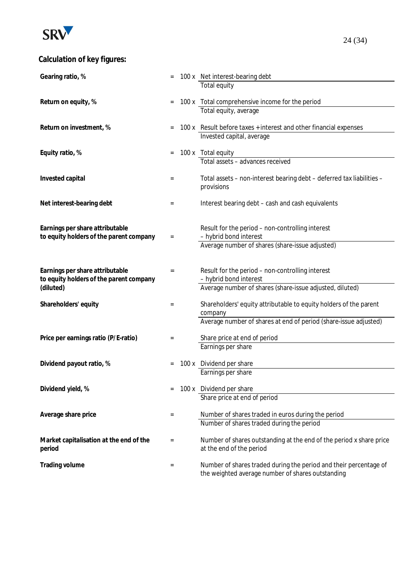

# **Calculation of key figures:**

| Gearing ratio, %                                                           |     | 100 x Net interest-bearing debt                                                                 |
|----------------------------------------------------------------------------|-----|-------------------------------------------------------------------------------------------------|
|                                                                            |     | Total equity                                                                                    |
|                                                                            |     |                                                                                                 |
| Return on equity, %                                                        |     | 100 x Total comprehensive income for the period                                                 |
|                                                                            |     | Total equity, average                                                                           |
| Return on investment, %                                                    |     | 100 x Result before taxes + interest and other financial expenses                               |
|                                                                            |     | Invested capital, average                                                                       |
|                                                                            |     |                                                                                                 |
| Equity ratio, %                                                            |     | 100 x Total equity                                                                              |
|                                                                            |     | Total assets - advances received                                                                |
| Invested capital                                                           | $=$ | Total assets - non-interest bearing debt - deferred tax liabilities -                           |
|                                                                            |     | provisions                                                                                      |
|                                                                            |     |                                                                                                 |
| Net interest-bearing debt                                                  | $=$ | Interest bearing debt - cash and cash equivalents                                               |
|                                                                            |     |                                                                                                 |
|                                                                            |     |                                                                                                 |
| Earnings per share attributable<br>to equity holders of the parent company | $=$ | Result for the period - non-controlling interest<br>- hybrid bond interest                      |
|                                                                            |     | Average number of shares (share-issue adjusted)                                                 |
|                                                                            |     |                                                                                                 |
|                                                                            |     |                                                                                                 |
| Earnings per share attributable                                            | $=$ | Result for the period - non-controlling interest                                                |
| to equity holders of the parent company                                    |     | - hybrid bond interest                                                                          |
| (diluted)                                                                  |     | Average number of shares (share-issue adjusted, diluted)                                        |
| Shareholders' equity                                                       | $=$ | Shareholders' equity attributable to equity holders of the parent                               |
|                                                                            |     | company                                                                                         |
|                                                                            |     | Average number of shares at end of period (share-issue adjusted)                                |
|                                                                            |     |                                                                                                 |
| Price per earnings ratio (P/E-ratio)                                       | $=$ | Share price at end of period                                                                    |
|                                                                            |     | Earnings per share                                                                              |
| Dividend payout ratio, %                                                   |     | 100 x Dividend per share                                                                        |
|                                                                            |     | Earnings per share                                                                              |
|                                                                            |     |                                                                                                 |
| Dividend yield, %                                                          |     | 100 x Dividend per share                                                                        |
|                                                                            |     | Share price at end of period                                                                    |
|                                                                            |     |                                                                                                 |
| Average share price                                                        | $=$ | Number of shares traded in euros during the period<br>Number of shares traded during the period |
|                                                                            |     |                                                                                                 |
| Market capitalisation at the end of the                                    | $=$ | Number of shares outstanding at the end of the period x share price                             |
| period                                                                     |     | at the end of the period                                                                        |
|                                                                            |     |                                                                                                 |
| Trading volume                                                             | $=$ | Number of shares traded during the period and their percentage of                               |
|                                                                            |     | the weighted average number of shares outstanding                                               |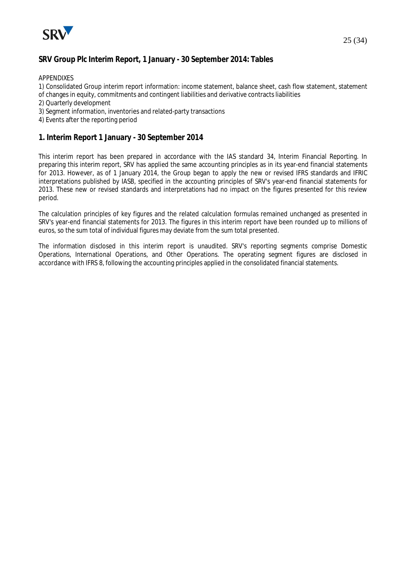

## **SRV Group Plc Interim Report, 1 January - 30 September 2014: Tables**

APPENDIXES

1) Consolidated Group interim report information: income statement, balance sheet, cash flow statement, statement

- of changes in equity, commitments and contingent liabilities and derivative contracts liabilities
- 2) Quarterly development
- 3) Segment information, inventories and related-party transactions
- 4) Events after the reporting period

### **1. Interim Report 1 January - 30 September 2014**

This interim report has been prepared in accordance with the IAS standard 34, Interim Financial Reporting. In preparing this interim report, SRV has applied the same accounting principles as in its year-end financial statements for 2013. However, as of 1 January 2014, the Group began to apply the new or revised IFRS standards and IFRIC interpretations published by IASB, specified in the accounting principles of SRV's year-end financial statements for 2013. These new or revised standards and interpretations had no impact on the figures presented for this review period.

The calculation principles of key figures and the related calculation formulas remained unchanged as presented in SRV's year-end financial statements for 2013. The figures in this interim report have been rounded up to millions of euros, so the sum total of individual figures may deviate from the sum total presented.

The information disclosed in this interim report is unaudited. SRV's reporting segments comprise Domestic Operations, International Operations, and Other Operations. The operating segment figures are disclosed in accordance with IFRS 8, following the accounting principles applied in the consolidated financial statements.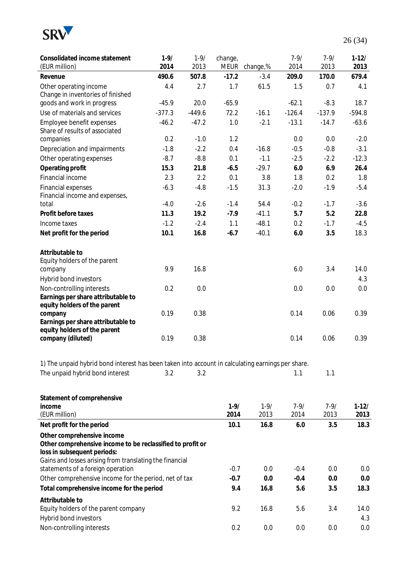

| Consolidated income statement<br>(EUR million)                                                    | $1 - 9/$<br>2014 | $1 - 9/$<br>2013 | change,<br>MEUR | change,% | $7 - 9/$<br>2014 | $7 - 9/$<br>2013 | $1-12/$<br>2013 |
|---------------------------------------------------------------------------------------------------|------------------|------------------|-----------------|----------|------------------|------------------|-----------------|
| Revenue                                                                                           | 490.6            | 507.8            | $-17.2$         | $-3.4$   | 209.0            | 170.0            | 679.4           |
| Other operating income                                                                            | 4.4              | 2.7              | 1.7             | 61.5     | 1.5              | 0.7              | 4.1             |
| Change in inventories of finished                                                                 |                  |                  |                 |          |                  |                  |                 |
| goods and work in progress                                                                        | $-45.9$          | 20.0             | $-65.9$         |          | $-62.1$          | $-8.3$           | 18.7            |
| Use of materials and services                                                                     | $-377.3$         | $-449.6$         | 72.2            | $-16.1$  | $-126.4$         | $-137.9$         | $-594.8$        |
| Employee benefit expenses                                                                         | $-46.2$          | $-47.2$          | 1.0             | $-2.1$   | $-13.1$          | $-14.7$          | $-63.6$         |
| Share of results of associated                                                                    |                  |                  |                 |          |                  |                  |                 |
| companies                                                                                         | 0.2              | $-1.0$           | 1.2             |          | 0.0              | 0.0              | $-2.0$          |
| Depreciation and impairments                                                                      | $-1.8$           | $-2.2$           | 0.4             | $-16.8$  | $-0.5$           | $-0.8$           | $-3.1$          |
| Other operating expenses                                                                          | $-8.7$           | $-8.8$           | 0.1             | $-1.1$   | $-2.5$           | $-2.2$           | $-12.3$         |
| Operating profit                                                                                  | 15.3             | 21.8             | $-6.5$          | $-29.7$  | 6.0              | 6.9              | 26.4            |
| Financial income                                                                                  | 2.3              | 2.2              | 0.1             | 3.8      | 1.8              | 0.2              | 1.8             |
| <b>Financial expenses</b>                                                                         | $-6.3$           | $-4.8$           | $-1.5$          | 31.3     | $-2.0$           | $-1.9$           | $-5.4$          |
| Financial income and expenses,                                                                    |                  |                  |                 |          |                  |                  |                 |
| total                                                                                             | $-4.0$           | $-2.6$           | $-1.4$          | 54.4     | $-0.2$           | $-1.7$           | $-3.6$          |
| Profit before taxes                                                                               | 11.3             | 19.2             | $-7.9$          | $-41.1$  | 5.7              | 5.2              | 22.8            |
| Income taxes                                                                                      | $-1.2$           | $-2.4$           | 1.1             | $-48.1$  | 0.2              | $-1.7$           | $-4.5$          |
| Net profit for the period                                                                         | 10.1             | 16.8             | $-6.7$          | $-40.1$  | 6.0              | 3.5              | 18.3            |
| Attributable to                                                                                   |                  |                  |                 |          |                  |                  |                 |
| Equity holders of the parent                                                                      |                  |                  |                 |          |                  |                  |                 |
| company                                                                                           | 9.9              | 16.8             |                 |          | 6.0              | 3.4              | 14.0            |
| Hybrid bond investors                                                                             |                  |                  |                 |          |                  |                  | 4.3             |
| Non-controlling interests                                                                         | 0.2              | 0.0              |                 |          | 0.0              | 0.0              | 0.0             |
| Earnings per share attributable to                                                                |                  |                  |                 |          |                  |                  |                 |
| equity holders of the parent                                                                      | 0.19             | 0.38             |                 |          | 0.14             | 0.06             | 0.39            |
| company<br>Earnings per share attributable to                                                     |                  |                  |                 |          |                  |                  |                 |
| equity holders of the parent                                                                      |                  |                  |                 |          |                  |                  |                 |
| company (diluted)                                                                                 | 0.19             | 0.38             |                 |          | 0.14             | 0.06             | 0.39            |
|                                                                                                   |                  |                  |                 |          |                  |                  |                 |
| 1) The unpaid hybrid bond interest has been taken into account in calculating earnings per share. |                  |                  |                 |          |                  |                  |                 |
| The unpaid hybrid bond interest                                                                   | 3.2              | 3.2              |                 |          | 1.1              | 1.1              |                 |
|                                                                                                   |                  |                  |                 |          |                  |                  |                 |
| Statement of comprehensive                                                                        |                  |                  |                 |          |                  |                  |                 |
| income                                                                                            |                  |                  | $1 - 9/$        | $1 - 9/$ | $7 - 9/$         | $7 - 9/$         | $1-12/$         |
| (EUR million)                                                                                     |                  |                  | 2014            | 2013     | 2014             | 2013             | 2013            |
| Net profit for the period                                                                         |                  |                  | 10.1            | 16.8     | 6.0              | 3.5              | 18.3            |
| Other comprehensive income                                                                        |                  |                  |                 |          |                  |                  |                 |
| Other comprehensive income to be reclassified to profit or                                        |                  |                  |                 |          |                  |                  |                 |
| loss in subsequent periods:                                                                       |                  |                  |                 |          |                  |                  |                 |
| Gains and losses arising from translating the financial                                           |                  |                  |                 |          |                  |                  |                 |
| statements of a foreign operation                                                                 |                  |                  | $-0.7$          | 0.0      | $-0.4$           | 0.0              | 0.0             |
| Other comprehensive income for the period, net of tax                                             |                  |                  | $-0.7$          | 0.0      | $-0.4$           | 0.0              | 0.0             |
| Total comprehensive income for the period                                                         |                  |                  | 9.4             | 16.8     | 5.6              | 3.5              | 18.3            |
| Attributable to                                                                                   |                  |                  |                 |          |                  |                  |                 |
| Equity holders of the parent company                                                              |                  |                  | 9.2             | 16.8     | 5.6              | 3.4              | 14.0            |
| Hybrid bond investors                                                                             |                  |                  |                 |          |                  |                  | 4.3             |
| Non-controlling interests                                                                         |                  |                  | 0.2             | 0.0      | 0.0              | 0.0              | 0.0             |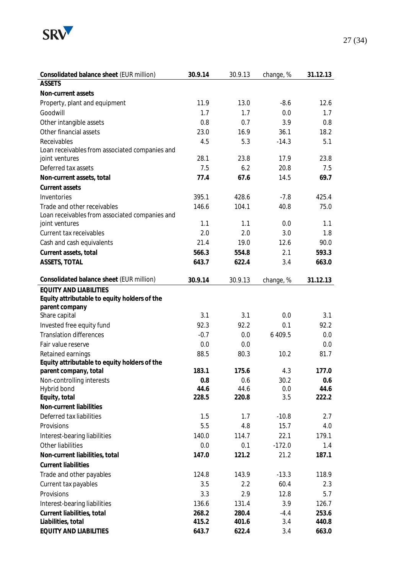

| Consolidated balance sheet (EUR million)                                      | 30.9.14 | 30.9.13 | change, % | 31.12.13 |
|-------------------------------------------------------------------------------|---------|---------|-----------|----------|
| <b>ASSETS</b>                                                                 |         |         |           |          |
| Non-current assets                                                            |         |         |           |          |
| Property, plant and equipment                                                 | 11.9    | 13.0    | $-8.6$    | 12.6     |
| Goodwill                                                                      | 1.7     | 1.7     | 0.0       | 1.7      |
| Other intangible assets                                                       | 0.8     | 0.7     | 3.9       | 0.8      |
| Other financial assets                                                        | 23.0    | 16.9    | 36.1      | 18.2     |
| Receivables                                                                   | 4.5     | 5.3     | $-14.3$   | 5.1      |
| Loan receivables from associated companies and                                |         |         |           |          |
| joint ventures                                                                | 28.1    | 23.8    | 17.9      | 23.8     |
| Deferred tax assets                                                           | 7.5     | 6.2     | 20.8      | 7.5      |
| Non-current assets, total                                                     | 77.4    | 67.6    | 14.5      | 69.7     |
| Current assets                                                                |         |         |           |          |
| Inventories                                                                   | 395.1   | 428.6   | $-7.8$    | 425.4    |
| Trade and other receivables                                                   | 146.6   | 104.1   | 40.8      | 75.0     |
| Loan receivables from associated companies and                                |         |         |           |          |
| joint ventures                                                                | 1.1     | 1.1     | 0.0       | 1.1      |
| Current tax receivables                                                       | 2.0     | 2.0     | 3.0       | 1.8      |
| Cash and cash equivalents                                                     | 21.4    | 19.0    | 12.6      | 90.0     |
| Current assets, total                                                         | 566.3   | 554.8   | 2.1       | 593.3    |
| ASSETS, TOTAL                                                                 | 643.7   | 622.4   | 3.4       | 663.0    |
| Consolidated balance sheet (EUR million)                                      |         |         |           |          |
|                                                                               | 30.9.14 | 30.9.13 | change, % | 31.12.13 |
| <b>EQUITY AND LIABILITIES</b><br>Equity attributable to equity holders of the |         |         |           |          |
| parent company                                                                |         |         |           |          |
| Share capital                                                                 | 3.1     | 3.1     | 0.0       | 3.1      |
| Invested free equity fund                                                     | 92.3    | 92.2    | 0.1       | 92.2     |
| <b>Translation differences</b>                                                | $-0.7$  | 0.0     | 6 409.5   | 0.0      |
| Fair value reserve                                                            | 0.0     | 0.0     |           | 0.0      |
| Retained earnings                                                             | 88.5    | 80.3    | 10.2      | 81.7     |
| Equity attributable to equity holders of the                                  |         |         |           |          |
| parent company, total                                                         | 183.1   | 175.6   | 4.3       | 177.0    |
| Non-controlling interests                                                     | 0.8     | 0.6     | 30.2      | 0.6      |
| Hybrid bond                                                                   | 44.6    | 44.6    | 0.0       | 44.6     |
| Equity, total                                                                 | 228.5   | 220.8   | 3.5       | 222.2    |
| Non-current liabilities                                                       |         |         |           |          |
| Deferred tax liabilities                                                      | 1.5     | 1.7     | $-10.8$   | 2.7      |
| Provisions                                                                    | 5.5     | 4.8     | 15.7      | 4.0      |
| Interest-bearing liabilities                                                  | 140.0   | 114.7   | 22.1      | 179.1    |
| Other liabilities                                                             | 0.0     | 0.1     | $-172.0$  | 1.4      |
| Non-current liabilities, total                                                | 147.0   | 121.2   | 21.2      | 187.1    |
| <b>Current liabilities</b>                                                    |         |         |           |          |
| Trade and other payables                                                      | 124.8   | 143.9   | $-13.3$   | 118.9    |
| Current tax payables                                                          | 3.5     | 2.2     | 60.4      | 2.3      |
| Provisions                                                                    | 3.3     | 2.9     | 12.8      | 5.7      |
| Interest-bearing liabilities                                                  | 136.6   | 131.4   | 3.9       | 126.7    |
| Current liabilities, total                                                    | 268.2   | 280.4   | $-4.4$    | 253.6    |
| Liabilities, total                                                            | 415.2   | 401.6   | 3.4       | 440.8    |
| EQUITY AND LIABILITIES                                                        | 643.7   | 622.4   | 3.4       | 663.0    |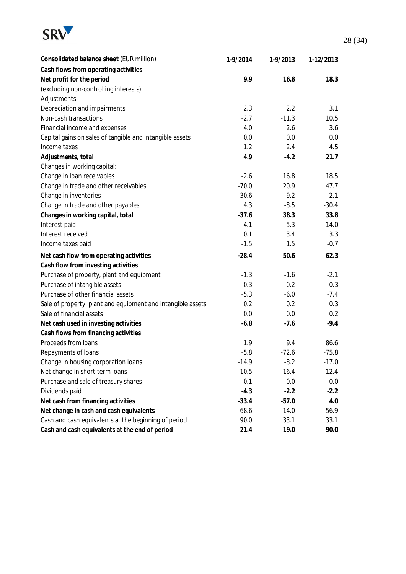

| Consolidated balance sheet (EUR million)                    | 1-9/2014 | 1-9/2013 | 1-12/2013 |
|-------------------------------------------------------------|----------|----------|-----------|
| Cash flows from operating activities                        |          |          |           |
| Net profit for the period                                   | 9.9      | 16.8     | 18.3      |
| (excluding non-controlling interests)                       |          |          |           |
| Adjustments:                                                |          |          |           |
| Depreciation and impairments                                | 2.3      | 2.2      | 3.1       |
| Non-cash transactions                                       | $-2.7$   | $-11.3$  | 10.5      |
| Financial income and expenses                               | 4.0      | 2.6      | 3.6       |
| Capital gains on sales of tangible and intangible assets    | 0.0      | 0.0      | $0.0\,$   |
| Income taxes                                                | 1.2      | 2.4      | 4.5       |
| Adjustments, total                                          | 4.9      | $-4.2$   | 21.7      |
| Changes in working capital:                                 |          |          |           |
| Change in loan receivables                                  | $-2.6$   | 16.8     | 18.5      |
| Change in trade and other receivables                       | $-70.0$  | 20.9     | 47.7      |
| Change in inventories                                       | 30.6     | 9.2      | $-2.1$    |
| Change in trade and other payables                          | 4.3      | $-8.5$   | $-30.4$   |
| Changes in working capital, total                           | $-37.6$  | 38.3     | 33.8      |
| Interest paid                                               | $-4.1$   | $-5.3$   | $-14.0$   |
| Interest received                                           | 0.1      | 3.4      | 3.3       |
| Income taxes paid                                           | $-1.5$   | 1.5      | $-0.7$    |
| Net cash flow from operating activities                     | $-28.4$  | 50.6     | 62.3      |
| Cash flow from investing activities                         |          |          |           |
| Purchase of property, plant and equipment                   | $-1.3$   | $-1.6$   | $-2.1$    |
| Purchase of intangible assets                               | $-0.3$   | $-0.2$   | $-0.3$    |
| Purchase of other financial assets                          | $-5.3$   | $-6.0$   | $-7.4$    |
| Sale of property, plant and equipment and intangible assets | 0.2      | 0.2      | 0.3       |
| Sale of financial assets                                    | 0.0      | 0.0      | 0.2       |
| Net cash used in investing activities                       | $-6.8$   | $-7.6$   | $-9.4$    |
| Cash flows from financing activities                        |          |          |           |
| Proceeds from loans                                         | 1.9      | 9.4      | 86.6      |
| Repayments of loans                                         | $-5.8$   | $-72.6$  | $-75.8$   |
| Change in housing corporation loans                         | $-14.9$  | $-8.2$   | $-17.0$   |
| Net change in short-term loans                              | $-10.5$  | 16.4     | 12.4      |
| Purchase and sale of treasury shares                        | 0.1      | 0.0      | 0.0       |
| Dividends paid                                              | $-4.3$   | $-2.2$   | $-2.2$    |
| Net cash from financing activities                          | $-33.4$  | $-57.0$  | 4.0       |
| Net change in cash and cash equivalents                     | $-68.6$  | $-14.0$  | 56.9      |
| Cash and cash equivalents at the beginning of period        | 90.0     | 33.1     | 33.1      |
| Cash and cash equivalents at the end of period              | 21.4     | 19.0     | 90.0      |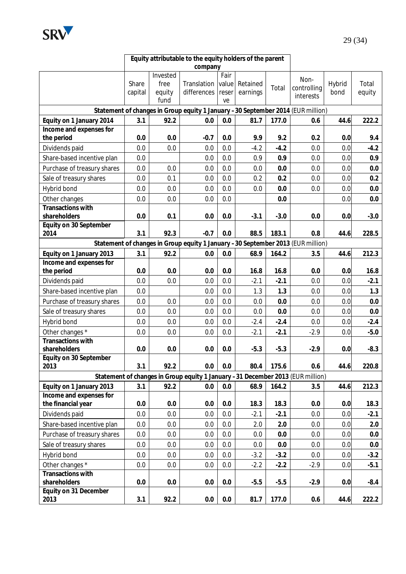

| Equity attributable to the equity holders of the parent |                  |                |                                                                                 |         |                      |        |             |                |                 |
|---------------------------------------------------------|------------------|----------------|---------------------------------------------------------------------------------|---------|----------------------|--------|-------------|----------------|-----------------|
|                                                         |                  |                | company                                                                         |         |                      |        |             |                |                 |
|                                                         |                  | Invested       |                                                                                 | Fair    |                      |        | Non-        |                |                 |
|                                                         | Share<br>capital | free<br>equity | Translation value<br>differences                                                | reser   | Retained<br>earnings | Total  | controlling | Hybrid<br>bond | Total<br>equity |
|                                                         |                  | fund           |                                                                                 | ve      |                      |        | interests   |                |                 |
|                                                         |                  |                | Statement of changes in Group equity 1 January -30 September 2014 (EUR million) |         |                      |        |             |                |                 |
| Equity on 1 January 2014                                | 3.1              | 92.2           | 0.0                                                                             | 0.0     | 81.7                 | 177.0  | 0.6         | 44.6           | 222.2           |
| Income and expenses for                                 |                  |                |                                                                                 |         |                      |        |             |                |                 |
| the period                                              | 0.0              | 0.0            | $-0.7$                                                                          | 0.0     | 9.9                  | 9.2    | 0.2         | 0.0            | 9.4             |
| Dividends paid                                          | 0.0              | 0.0            | 0.0                                                                             | 0.0     | $-4.2$               | $-4.2$ | 0.0         | 0.0            | $-4.2$          |
| Share-based incentive plan                              | 0.0              |                | 0.0                                                                             | 0.0     | 0.9                  | 0.9    | 0.0         | 0.0            | 0.9             |
| Purchase of treasury shares                             | 0.0              | 0.0            | 0.0                                                                             | 0.0     | 0.0                  | 0.0    | 0.0         | 0.0            | 0.0             |
| Sale of treasury shares                                 | 0.0              | 0.1            | 0.0                                                                             | 0.0     | 0.2                  | 0.2    | 0.0         | 0.0            | 0.2             |
| Hybrid bond                                             | 0.0              | 0.0            | 0.0                                                                             | 0.0     | 0.0                  | 0.0    | 0.0         | 0.0            | 0.0             |
| Other changes                                           | 0.0              | 0.0            | 0.0                                                                             | 0.0     |                      | 0.0    |             | 0.0            | 0.0             |
| Transactions with                                       |                  |                |                                                                                 |         |                      |        |             |                |                 |
| shareholders                                            | 0.0              | 0.1            | 0.0                                                                             | 0.0     | $-3.1$               | $-3.0$ | 0.0         | 0.0            | $-3.0$          |
| Equity on 30 September                                  |                  |                |                                                                                 |         |                      |        |             |                |                 |
| 2014                                                    | 3.1              | 92.3           | $-0.7$                                                                          | 0.0     | 88.5                 | 183.1  | 0.8         | 44.6           | 228.5           |
|                                                         |                  |                | Statement of changes in Group equity 1 January -30 September 2013 (EUR million) |         |                      |        |             |                |                 |
| Equity on 1 January 2013                                | 3.1              | 92.2           | 0.0                                                                             | 0.0     | 68.9                 | 164.2  | 3.5         | 44.6           | 212.3           |
| Income and expenses for                                 |                  |                |                                                                                 |         |                      |        |             |                |                 |
| the period                                              | 0.0              | 0.0            | 0.0                                                                             | 0.0     | 16.8                 | 16.8   | 0.0         | 0.0            | 16.8            |
| Dividends paid                                          | 0.0              | 0.0            | 0.0                                                                             | 0.0     | $-2.1$               | $-2.1$ | 0.0         | 0.0            | $-2.1$          |
| Share-based incentive plan                              | 0.0              |                | 0.0                                                                             | 0.0     | 1.3                  | 1.3    | 0.0         | 0.0            | 1.3             |
| Purchase of treasury shares                             | 0.0              | 0.0            | 0.0                                                                             | 0.0     | 0.0                  | 0.0    | 0.0         | 0.0            | 0.0             |
| Sale of treasury shares                                 | 0.0              | 0.0            | 0.0                                                                             | 0.0     | 0.0                  | 0.0    | 0.0         | 0.0            | 0.0             |
| Hybrid bond                                             | 0.0              | 0.0            | 0.0                                                                             | 0.0     | $-2.4$               | $-2.4$ | 0.0         | 0.0            | $-2.4$          |
| Other changes *                                         | 0.0              | 0.0            | 0.0                                                                             | 0.0     | $-2.1$               | $-2.1$ | $-2.9$      | 0.0            | $-5.0$          |
| Transactions with                                       |                  |                |                                                                                 |         |                      |        |             |                |                 |
| shareholders                                            | 0.0              | 0.0            | 0.0                                                                             | 0.0     | $-5.3$               | $-5.3$ | $-2.9$      | 0.0            | $-8.3$          |
| Equity on 30 September<br>2013                          | 3.1              | 92.2           | 0.0                                                                             | 0.0     | 80.4                 | 175.6  |             |                |                 |
|                                                         |                  |                |                                                                                 |         |                      |        | 0.6         | 44.6           | 220.8           |
|                                                         |                  |                | Statement of changes in Group equity 1 January -31 December 2013 (EUR million)  |         |                      |        |             |                |                 |
| Equity on 1 January 2013<br>Income and expenses for     | 3.1              | 92.2           | 0.0                                                                             | 0.0     | 68.9                 | 164.2  | 3.5         | 44.6           | 212.3           |
| the financial year                                      | 0.0              | 0.0            | 0.0                                                                             | 0.0     | 18.3                 | 18.3   | 0.0         | 0.0            | 18.3            |
| Dividends paid                                          | 0.0              | 0.0            | 0.0                                                                             | 0.0     | $-2.1$               | $-2.1$ | 0.0         | 0.0            | $-2.1$          |
| Share-based incentive plan                              | 0.0              | 0.0            | 0.0                                                                             | 0.0     | 2.0                  | 2.0    | 0.0         | 0.0            | 2.0             |
| Purchase of treasury shares                             | 0.0              | 0.0            | 0.0                                                                             | 0.0     | 0.0                  | 0.0    | 0.0         | 0.0            |                 |
|                                                         |                  |                |                                                                                 |         |                      |        |             |                | 0.0             |
| Sale of treasury shares                                 | 0.0              | 0.0            | 0.0                                                                             | 0.0     | 0.0                  | 0.0    | 0.0         | 0.0            | 0.0             |
| Hybrid bond                                             | 0.0              | 0.0            | 0.0                                                                             | 0.0     | $-3.2$               | $-3.2$ | 0.0         | 0.0            | $-3.2$          |
| Other changes *                                         | 0.0              | 0.0            | 0.0                                                                             | 0.0     | $-2.2$               | $-2.2$ | $-2.9$      | 0.0            | $-5.1$          |
| Transactions with<br>shareholders                       | 0.0              | 0.0            | 0.0                                                                             | 0.0     | $-5.5$               | $-5.5$ | $-2.9$      | 0.0            | $-8.4$          |
| Equity on 31 December                                   |                  |                |                                                                                 |         |                      |        |             |                |                 |
| 2013                                                    | 3.1              | 92.2           | 0.0                                                                             | $0.0\,$ | 81.7                 | 177.0  | 0.6         | 44.6           | 222.2           |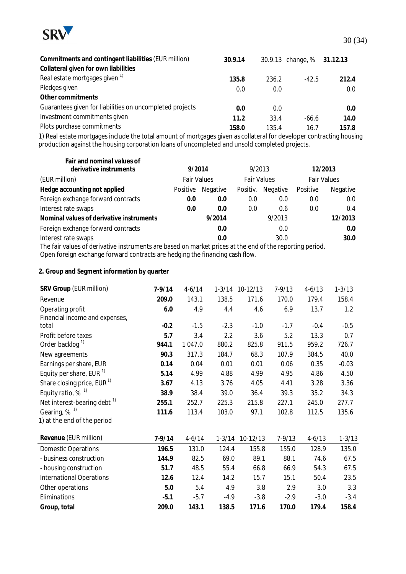

| Commitments and contingent liabilities (EUR million)     | 30.9.14 |       | 30.9.13 change, % | 31.12.13 |
|----------------------------------------------------------|---------|-------|-------------------|----------|
| Collateral given for own liabilities                     |         |       |                   |          |
| Real estate mortgages given 1)                           | 135.8   | 236.2 | $-42.5$           | 212.4    |
| Pledges given                                            | 0.0     | 0.0   |                   | 0.0      |
| Other commitments                                        |         |       |                   |          |
| Guarantees given for liabilities on uncompleted projects | 0.0     | 0.0   |                   | 0.0      |
| Investment commitments given                             | 11.2    | 33.4  | $-66.6$           | 14.0     |
| Plots purchase commitments                               | 158.0   | 135.4 | 16.7              | 157.8    |

1) Real estate mortgages include the total amount of mortgages given as collateral for developer contracting housing production against the housing corporation loans of uncompleted and unsold completed projects.

| Fair and nominal values of<br>derivative instruments                                                     | 9/2014             |          | 9/2013             |          |                    | 12/2013  |
|----------------------------------------------------------------------------------------------------------|--------------------|----------|--------------------|----------|--------------------|----------|
| (EUR million)                                                                                            | <b>Fair Values</b> |          | <b>Fair Values</b> |          | <b>Fair Values</b> |          |
| Hedge accounting not applied                                                                             | Positive           | Negative | Positiv.           | Negative | Positive           | Negative |
| Foreign exchange forward contracts                                                                       | 0.0                | 0.0      | 0.0                | 0.0      | 0.0                | 0.0      |
| Interest rate swaps                                                                                      | 0.0                | 0.0      | 0.0                | 0.6      | 0.0                | 0.4      |
| Nominal values of derivative instruments                                                                 |                    | 9/2014   |                    | 9/2013   |                    | 12/2013  |
| Foreign exchange forward contracts                                                                       |                    | 0.0      |                    | 0.0      |                    | 0.0      |
| Interest rate swaps                                                                                      |                    | 0.0      |                    | 30.0     |                    | 30.0     |
| The fair values of derivative instruments are based on market prices at the end of the reporting period. |                    |          |                    |          |                    |          |

Open foreign exchange forward contracts are hedging the financing cash flow.

**2. Group and Segment information by quarter** 

| SRV Group (EUR million)                 | $7 - 9/14$ | $4 - 6/14$ | $1 - 3/14$ | 10-12/13 | $7 - 9/13$ | $4 - 6/13$ | $1 - 3/13$ |
|-----------------------------------------|------------|------------|------------|----------|------------|------------|------------|
| Revenue                                 | 209.0      | 143.1      | 138.5      | 171.6    | 170.0      | 179.4      | 158.4      |
| Operating profit                        | 6.0        | 4.9        | 4.4        | 4.6      | 6.9        | 13.7       | 1.2        |
| Financial income and expenses,          |            |            |            |          |            |            |            |
| total                                   | $-0.2$     | $-1.5$     | $-2.3$     | $-1.0$   | $-1.7$     | $-0.4$     | $-0.5$     |
| Profit before taxes                     | 5.7        | 3.4        | 2.2        | 3.6      | 5.2        | 13.3       | 0.7        |
| Order backlog <sup>1)</sup>             | 944.1      | 1 047.0    | 880.2      | 825.8    | 911.5      | 959.2      | 726.7      |
| New agreements                          | 90.3       | 317.3      | 184.7      | 68.3     | 107.9      | 384.5      | 40.0       |
| Earnings per share, EUR                 | 0.14       | 0.04       | 0.01       | 0.01     | 0.06       | 0.35       | $-0.03$    |
| Equity per share, EUR $1$               | 5.14       | 4.99       | 4.88       | 4.99     | 4.95       | 4.86       | 4.50       |
| Share closing price, EUR $1$            | 3.67       | 4.13       | 3.76       | 4.05     | 4.41       | 3.28       | 3.36       |
| Equity ratio, $%$ <sup>1)</sup>         | 38.9       | 38.4       | 39.0       | 36.4     | 39.3       | 35.2       | 34.3       |
| Net interest-bearing debt <sup>1)</sup> | 255.1      | 252.7      | 225.3      | 215.8    | 227.1      | 245.0      | 277.7      |
| Gearing, % <sup>1)</sup>                | 111.6      | 113.4      | 103.0      | 97.1     | 102.8      | 112.5      | 135.6      |
| 1) at the end of the period             |            |            |            |          |            |            |            |
| Revenue (EUR million)                   | 7-9/14     | $4 - 6/14$ | $1 - 3/14$ | 10-12/13 | $7 - 9/13$ | $4 - 6/13$ | $1 - 3/13$ |
| <b>Domestic Operations</b>              | 196.5      | 131.0      | 124.4      | 155.8    | 155.0      | 128.9      | 135.0      |
| - business construction                 | 144.9      | 82.5       | 69.0       | 89.1     | 88.1       | 74.6       | 67.5       |
| - housing construction                  | 51.7       | 48.5       | 55.4       | 66.8     | 66.9       | 54.3       | 67.5       |
| <b>International Operations</b>         | 12.6       | 12.4       | 14.2       | 15.7     | 15.1       | 50.4       | 23.5       |
| Other operations                        | 5.0        | 5.4        | 4.9        | 3.8      | 2.9        | 3.0        | 3.3        |
| Eliminations                            | $-5.1$     | $-5.7$     | $-4.9$     | $-3.8$   | $-2.9$     | $-3.0$     | $-3.4$     |
| Group, total                            | 209.0      | 143.1      | 138.5      | 171.6    | 170.0      | 179.4      | 158.4      |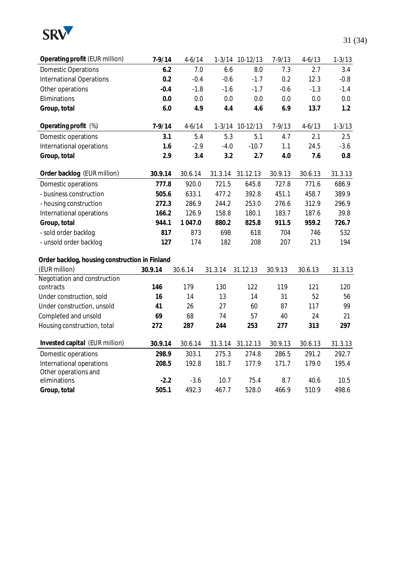

| Operating profit (EUR million)                 | $7 - 9/14$ | $4 - 6/14$ |         | 1-3/14 10-12/13 | $7 - 9/13$ | $4 - 6/13$ | $1 - 3/13$ |
|------------------------------------------------|------------|------------|---------|-----------------|------------|------------|------------|
| <b>Domestic Operations</b>                     | 6.2        | 7.0        | 6.6     | 8.0             | 7.3        | 2.7        | 3.4        |
| <b>International Operations</b>                | 0.2        | $-0.4$     | $-0.6$  | $-1.7$          | 0.2        | 12.3       | $-0.8$     |
| Other operations                               | $-0.4$     | $-1.8$     | $-1.6$  | $-1.7$          | $-0.6$     | $-1.3$     | $-1.4$     |
| Eliminations                                   | 0.0        | 0.0        | 0.0     | 0.0             | 0.0        | 0.0        | 0.0        |
| Group, total                                   | 6.0        | 4.9        | 4.4     | 4.6             | 6.9        | 13.7       | 1.2        |
| Operating profit (%)                           | $7 - 9/14$ | $4 - 6/14$ |         | 1-3/14 10-12/13 | $7 - 9/13$ | $4 - 6/13$ | $1 - 3/13$ |
| Domestic operations                            | 3.1        | 5.4        | 5.3     | 5.1             | 4.7        | 2.1        | 2.5        |
| International operations                       | 1.6        | $-2.9$     | $-4.0$  | $-10.7$         | 1.1        | 24.5       | $-3.6$     |
| Group, total                                   | 2.9        | 3.4        | 3.2     | 2.7             | 4.0        | 7.6        | 0.8        |
| Order backlog (EUR million)                    | 30.9.14    | 30.6.14    | 31.3.14 | 31.12.13        | 30.9.13    | 30.6.13    | 31.3.13    |
| Domestic operations                            | 777.8      | 920.0      | 721.5   | 645.8           | 727.8      | 771.6      | 686.9      |
| - business construction                        | 505.6      | 633.1      | 477.2   | 392.8           | 451.1      | 458.7      | 389.9      |
| - housing construction                         | 272.3      | 286.9      | 244.2   | 253.0           | 276.6      | 312.9      | 296.9      |
| International operations                       | 166.2      | 126.9      | 158.8   | 180.1           | 183.7      | 187.6      | 39.8       |
| Group, total                                   | 944.1      | 1 047.0    | 880.2   | 825.8           | 911.5      | 959.2      | 726.7      |
| - sold order backlog                           | 817        | 873        | 698     | 618             | 704        | 746        | 532        |
| - unsold order backlog                         | 127        | 174        | 182     | 208             | 207        | 213        | 194        |
| Order backlog, housing construction in Finland |            |            |         |                 |            |            |            |
| (EUR million)                                  | 30.9.14    | 30.6.14    | 31.3.14 | 31.12.13        | 30.9.13    | 30.6.13    | 31.3.13    |
| Negotiation and construction                   |            |            |         |                 |            |            |            |
| contracts                                      | 146        | 179        | 130     | 122             | 119        | 121        | 120        |
| Under construction, sold                       | 16         | 14         | 13      | 14              | 31         | 52         | 56         |
| Under construction, unsold                     | 41         | 26         | 27      | 60              | 87         | 117        | 99         |
| Completed and unsold                           | 69         | 68         | 74      | 57              | 40         | 24         | 21         |
| Housing construction, total                    | 272        | 287        | 244     | 253             | 277        | 313        | 297        |
| Invested capital (EUR million)                 | 30.9.14    | 30.6.14    | 31.3.14 | 31.12.13        | 30.9.13    | 30.6.13    | 31.3.13    |
| Domestic operations                            | 298.9      | 303.1      | 275.3   | 274.8           | 286.5      | 291.2      | 292.7      |
| International operations                       | 208.5      | 192.8      | 181.7   | 177.9           | 171.7      | 179.0      | 195.4      |
| Other operations and                           |            |            |         |                 |            |            |            |
| eliminations                                   | $-2.2$     | $-3.6$     | 10.7    | 75.4            | 8.7        | 40.6       | 10.5       |
| Group, total                                   | 505.1      | 492.3      | 467.7   | 528.0           | 466.9      | 510.9      | 498.6      |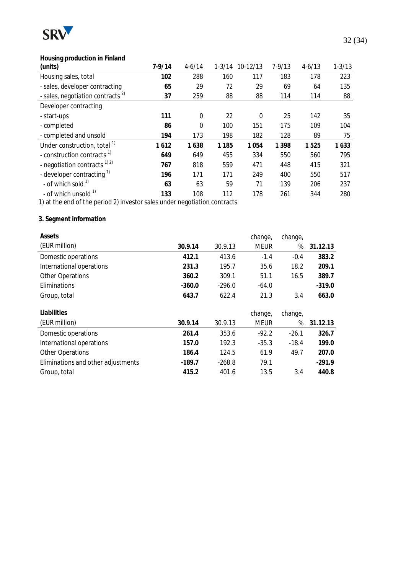

## **Housing production in Finland**

| (units)                                      | $7 - 9/14$ | $4 - 6/14$  |         | 1-3/14 10-12/13 | $7 - 9/13$ | $4 - 6/13$ | $1 - 3/13$ |
|----------------------------------------------|------------|-------------|---------|-----------------|------------|------------|------------|
| Housing sales, total                         | 102        | 288         | 160     | 117             | 183        | 178        | 223        |
| - sales, developer contracting               | 65         | 29          | 72      | 29              | 69         | 64         | 135        |
| - sales, negotiation contracts <sup>2)</sup> | 37         | 259         | 88      | 88              | 114        | 114        | 88         |
| Developer contracting                        |            |             |         |                 |            |            |            |
| - start-ups                                  | 111        | $\mathbf 0$ | 22      | $\Omega$        | 25         | 142        | 35         |
| - completed                                  | 86         | $\Omega$    | 100     | 151             | 175        | 109        | 104        |
| - completed and unsold                       | 194        | 173         | 198     | 182             | 128        | 89         | 75         |
| Under construction, total <sup>1)</sup>      | 1612       | 1638        | 1 1 8 5 | 1 0 5 4         | 1 3 9 8    | 1525       | 1633       |
| - construction contracts <sup>1)</sup>       | 649        | 649         | 455     | 334             | 550        | 560        | 795        |
| - negotiation contracts $^{1/2}$             | 767        | 818         | 559     | 471             | 448        | 415        | 321        |
| - developer contracting <sup>1)</sup>        | 196        | 171         | 171     | 249             | 400        | 550        | 517        |
| - of which sold $1$                          | 63         | 63          | 59      | 71              | 139        | 206        | 237        |
| - of which unsold <sup>1)</sup>              | 133        | 108         | 112     | 178             | 261        | 344        | 280        |

1) at the end of the period 2) investor sales under negotiation contracts

## **3. Segment information**

| Assets                             |          |          | change, | change, |          |
|------------------------------------|----------|----------|---------|---------|----------|
| (EUR million)                      | 30.9.14  | 30.9.13  | meur    | $\%$    | 31.12.13 |
| Domestic operations                | 412.1    | 413.6    | $-1.4$  | $-0.4$  | 383.2    |
| International operations           | 231.3    | 195.7    | 35.6    | 18.2    | 209.1    |
| <b>Other Operations</b>            | 360.2    | 309.1    | 51.1    | 16.5    | 389.7    |
| Eliminations                       | $-360.0$ | $-296.0$ | $-64.0$ |         | $-319.0$ |
| Group, total                       | 643.7    | 622.4    | 21.3    | 3.4     | 663.0    |
|                                    |          |          |         |         |          |
|                                    |          |          |         |         |          |
| Liabilities                        |          |          | change, | change, |          |
| (EUR million)                      | 30.9.14  | 30.9.13  | meur    | %       | 31.12.13 |
| Domestic operations                | 261.4    | 353.6    | $-92.2$ | $-26.1$ | 326.7    |
| International operations           | 157.0    | 192.3    | $-35.3$ | $-18.4$ | 199.0    |
| <b>Other Operations</b>            | 186.4    | 124.5    | 61.9    | 49.7    | 207.0    |
| Eliminations and other adjustments | $-189.7$ | $-268.8$ | 79.1    |         | $-291.9$ |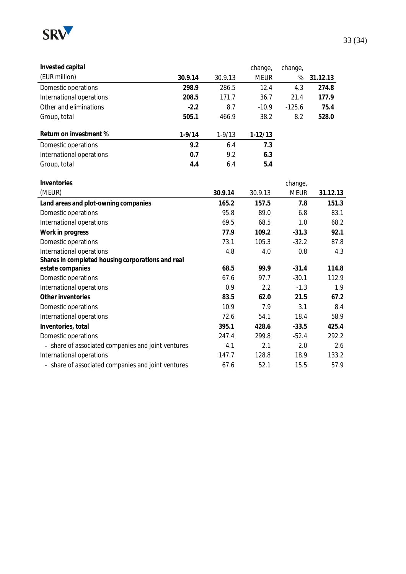

| Invested capital         |            |          | change,     | change,  |          |
|--------------------------|------------|----------|-------------|----------|----------|
| (EUR million)            | 30.9.14    | 30.9.13  | <b>MEUR</b> | $\%$     | 31.12.13 |
| Domestic operations      | 298.9      | 286.5    | 12.4        | 4.3      | 274.8    |
| International operations | 208.5      | 171.7    | 36.7        | 21.4     | 177.9    |
| Other and eliminations   | $-2.2$     | 8.7      | $-10.9$     | $-125.6$ | 75.4     |
| Group, total             | 505.1      | 466.9    | 38.2        | 8.2      | 528.0    |
| Return on investment %   | $1 - 9/14$ | $1-9/13$ | $1-12/13$   |          |          |
| Domestic operations      | 9.2        | 6.4      | 7.3         |          |          |
| International operations | 0.7        | 9.2      | 6.3         |          |          |
| Group, total             | 4.4        | 6.4      | 5.4         |          |          |

| Inventories                                        |         |         | change,     |          |
|----------------------------------------------------|---------|---------|-------------|----------|
| (MEUR)                                             | 30.9.14 | 30.9.13 | <b>MEUR</b> | 31.12.13 |
| Land areas and plot-owning companies               | 165.2   | 157.5   | 7.8         | 151.3    |
| Domestic operations                                | 95.8    | 89.0    | 6.8         | 83.1     |
| International operations                           | 69.5    | 68.5    | 1.0         | 68.2     |
| Work in progress                                   | 77.9    | 109.2   | $-31.3$     | 92.1     |
| Domestic operations                                | 73.1    | 105.3   | $-32.2$     | 87.8     |
| International operations                           | 4.8     | 4.0     | 0.8         | 4.3      |
| Shares in completed housing corporations and real  |         |         |             |          |
| estate companies                                   | 68.5    | 99.9    | $-31.4$     | 114.8    |
| Domestic operations                                | 67.6    | 97.7    | $-30.1$     | 112.9    |
| International operations                           | 0.9     | 2.2     | $-1.3$      | 1.9      |
| Other inventories                                  | 83.5    | 62.0    | 21.5        | 67.2     |
| Domestic operations                                | 10.9    | 7.9     | 3.1         | 8.4      |
| International operations                           | 72.6    | 54.1    | 18.4        | 58.9     |
| Inventories, total                                 | 395.1   | 428.6   | $-33.5$     | 425.4    |
| Domestic operations                                | 247.4   | 299.8   | $-52.4$     | 292.2    |
| - share of associated companies and joint ventures | 4.1     | 2.1     | 2.0         | 2.6      |
| International operations                           | 147.7   | 128.8   | 18.9        | 133.2    |
| - share of associated companies and joint ventures | 67.6    | 52.1    | 15.5        | 57.9     |